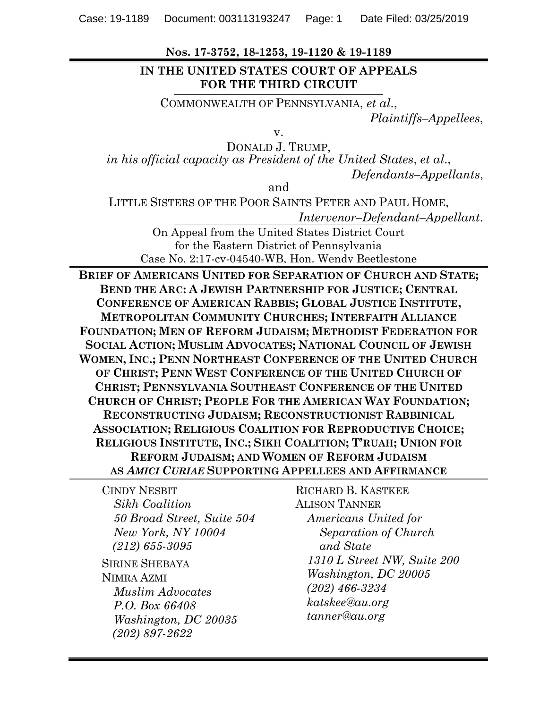**Nos. 17-3752, 18-1253, 19-1120 & 19-1189**

### **IN THE UNITED STATES COURT OF APPEALS FOR THE THIRD CIRCUIT**

COMMONWEALTH OF PENNSYLVANIA, *et al*.,

*Plaintiffs–Appellees*,

v.

DONALD J. TRUMP, *in his official capacity as President of the United States*, *et al*., *Defendants–Appellants*,

and

LITTLE SISTERS OF THE POOR SAINTS PETER AND PAUL HOME,

*Intervenor–Defendant–Appellant*.

On Appeal from the United States District Court for the Eastern District of Pennsylvania Case No. 2:17-cv-04540-WB, Hon. Wendy Beetlestone

**BRIEF OF AMERICANS UNITED FOR SEPARATION OF CHURCH AND STATE; BEND THE ARC: A JEWISH PARTNERSHIP FOR JUSTICE; CENTRAL CONFERENCE OF AMERICAN RABBIS; GLOBAL JUSTICE INSTITUTE, METROPOLITAN COMMUNITY CHURCHES; INTERFAITH ALLIANCE FOUNDATION; MEN OF REFORM JUDAISM; METHODIST FEDERATION FOR SOCIAL ACTION; MUSLIM ADVOCATES; NATIONAL COUNCIL OF JEWISH WOMEN, INC.; PENN NORTHEAST CONFERENCE OF THE UNITED CHURCH OF CHRIST; PENN WEST CONFERENCE OF THE UNITED CHURCH OF CHRIST; PENNSYLVANIA SOUTHEAST CONFERENCE OF THE UNITED CHURCH OF CHRIST; PEOPLE FOR THE AMERICAN WAY FOUNDATION; RECONSTRUCTING JUDAISM; RECONSTRUCTIONIST RABBINICAL ASSOCIATION; RELIGIOUS COALITION FOR REPRODUCTIVE CHOICE; RELIGIOUS INSTITUTE, INC.; SIKH COALITION; T'RUAH; UNION FOR REFORM JUDAISM; AND WOMEN OF REFORM JUDAISM AS** *AMICI CURIAE* **SUPPORTING APPELLEES AND AFFIRMANCE**

CINDY NESBIT *Sikh Coalition 50 Broad Street, Suite 504 New York, NY 10004 (212) 655-3095* SIRINE SHEBAYA NIMRA AZMI *Muslim Advocates P.O. Box 66408 Washington, DC 20035 (202) 897-2622*

RICHARD B. KASTKEE ALISON TANNER *Americans United for Separation of Church and State 1310 L Street NW, Suite 200 Washington, DC 20005 (202) 466-3234 katskee@au.org tanner@au.org*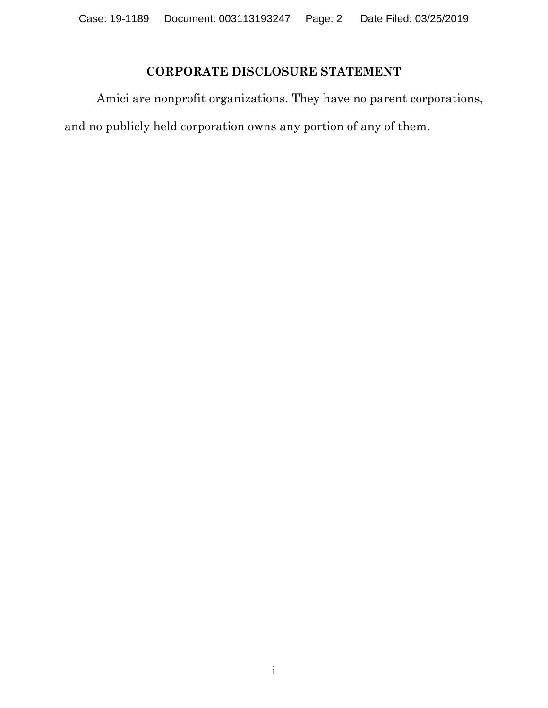## **CORPORATE DISCLOSURE STATEMENT**

<span id="page-1-0"></span>Amici are nonprofit organizations. They have no parent corporations, and no publicly held corporation owns any portion of any of them.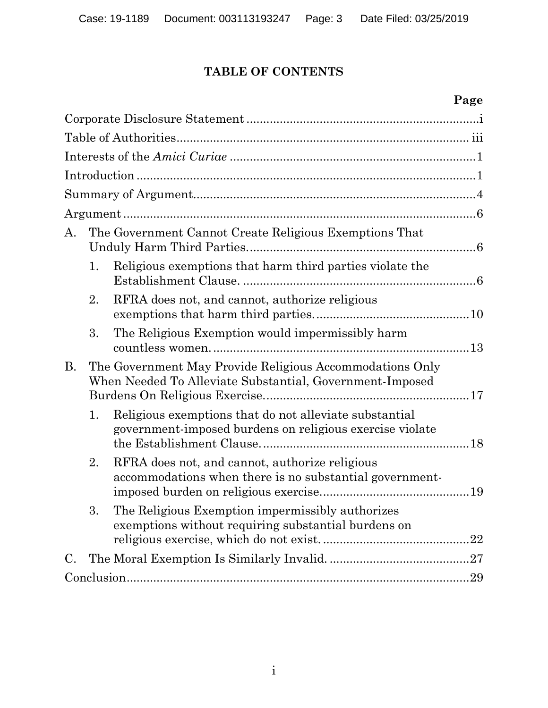# **TABLE OF CONTENTS**

# **Page**

| A.              |    | The Government Cannot Create Religious Exemptions That                                                               |  |  |
|-----------------|----|----------------------------------------------------------------------------------------------------------------------|--|--|
|                 | 1. | Religious exemptions that harm third parties violate the                                                             |  |  |
|                 | 2. | RFRA does not, and cannot, authorize religious                                                                       |  |  |
|                 | 3. | The Religious Exemption would impermissibly harm                                                                     |  |  |
| <b>B.</b>       |    | The Government May Provide Religious Accommodations Only<br>When Needed To Alleviate Substantial, Government-Imposed |  |  |
|                 | 1. | Religious exemptions that do not alleviate substantial<br>government-imposed burdens on religious exercise violate   |  |  |
|                 | 2. | RFRA does not, and cannot, authorize religious<br>accommodations when there is no substantial government-            |  |  |
|                 | 3. | The Religious Exemption impermissibly authorizes<br>exemptions without requiring substantial burdens on              |  |  |
| $\mathcal{C}$ . |    | .27                                                                                                                  |  |  |
|                 |    | 29                                                                                                                   |  |  |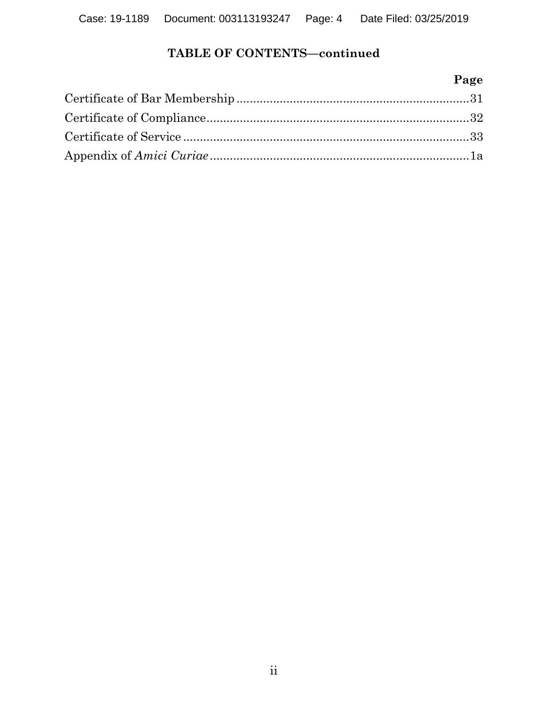## **TABLE OF CONTENTS—continued**

## **Page**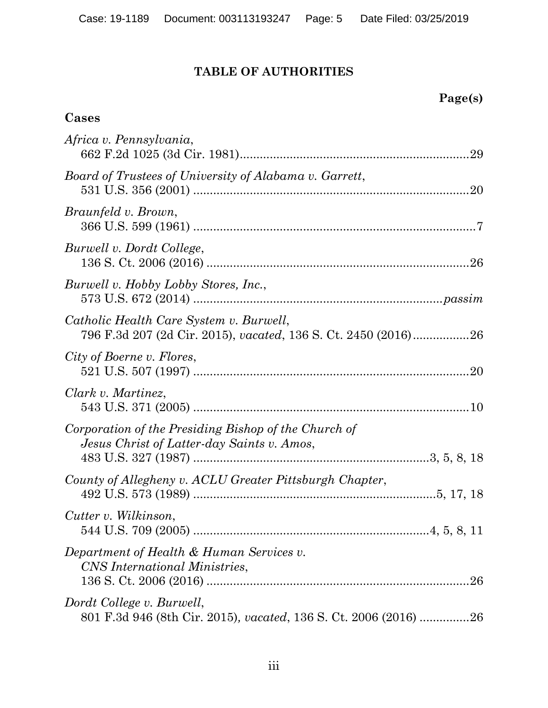## **TABLE OF AUTHORITIES**

## <span id="page-4-0"></span>**Cases**

| Africa v. Pennsylvania,                                                                                   |
|-----------------------------------------------------------------------------------------------------------|
| Board of Trustees of University of Alabama v. Garrett,                                                    |
| Braunfeld v. Brown,                                                                                       |
| Burwell v. Dordt College,                                                                                 |
| Burwell v. Hobby Lobby Stores, Inc.,                                                                      |
| Catholic Health Care System v. Burwell,<br>796 F.3d 207 (2d Cir. 2015), vacated, 136 S. Ct. 2450 (2016)26 |
| City of Boerne v. Flores,                                                                                 |
| Clark v. Martinez,                                                                                        |
| Corporation of the Presiding Bishop of the Church of<br>Jesus Christ of Latter-day Saints v. Amos,        |
| County of Allegheny v. ACLU Greater Pittsburgh Chapter,                                                   |
| Cutter v. Wilkinson,<br>544 U.S. 709 (2005)<br>$\dots 4, 5, 8, 11$                                        |
| Department of Health & Human Services v.<br>CNS International Ministries,                                 |
| Dordt College v. Burwell,<br>801 F.3d 946 (8th Cir. 2015), vacated, 136 S. Ct. 2006 (2016) 26             |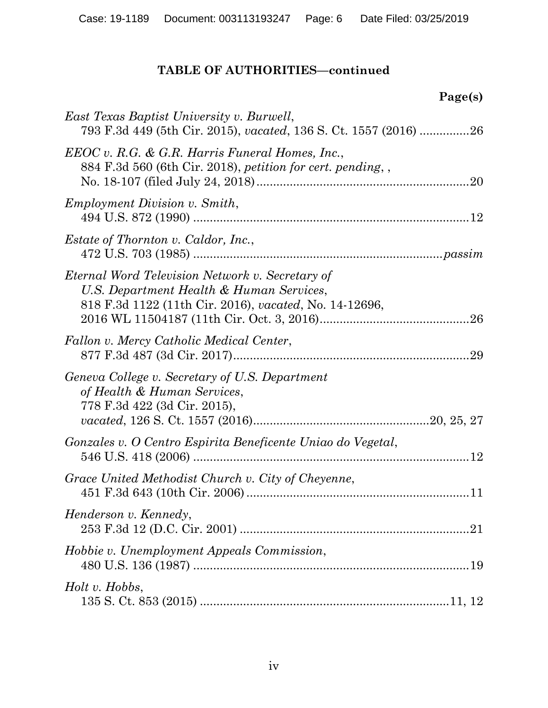| Page(s)                                                                                                                                               |
|-------------------------------------------------------------------------------------------------------------------------------------------------------|
| East Texas Baptist University v. Burwell,<br>793 F.3d 449 (5th Cir. 2015), vacated, 136 S. Ct. 1557 (2016) 26                                         |
| EEOC v. R.G. & G.R. Harris Funeral Homes, Inc.,<br>884 F.3d 560 (6th Cir. 2018), petition for cert. pending, ,                                        |
| <i>Employment Division v. Smith,</i>                                                                                                                  |
| <i>Estate of Thornton v. Caldor, Inc.,</i>                                                                                                            |
| Eternal Word Television Network v. Secretary of<br>U.S. Department Health & Human Services,<br>818 F.3d 1122 (11th Cir. 2016), vacated, No. 14-12696, |
| Fallon v. Mercy Catholic Medical Center,<br>29                                                                                                        |
| Geneva College v. Secretary of U.S. Department<br>of Health & Human Services,<br>778 F.3d 422 (3d Cir. 2015),                                         |
| Gonzales v. O Centro Espirita Beneficente Uniao do Vegetal,                                                                                           |
| Grace United Methodist Church v. City of Cheyenne,                                                                                                    |
| Henderson v. Kennedy,                                                                                                                                 |
| Hobbie v. Unemployment Appeals Commission,                                                                                                            |
| Holt v. Hobbs,                                                                                                                                        |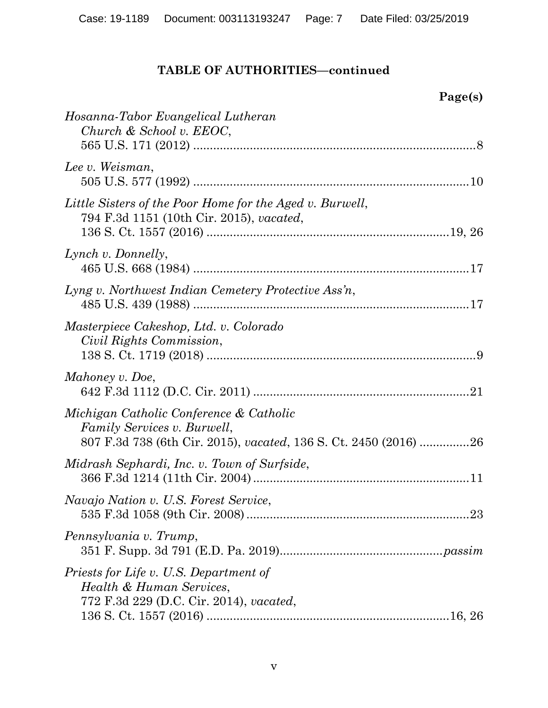**Page(s)**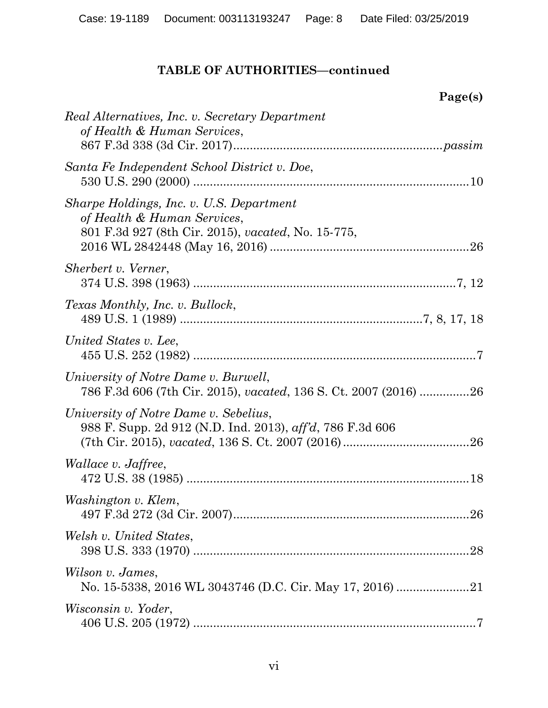| Page(s)                                                                                                                       |
|-------------------------------------------------------------------------------------------------------------------------------|
| Real Alternatives, Inc. v. Secretary Department<br>of Health & Human Services,                                                |
| Santa Fe Independent School District v. Doe,                                                                                  |
| Sharpe Holdings, Inc. v. U.S. Department<br>of Health & Human Services,<br>801 F.3d 927 (8th Cir. 2015), vacated, No. 15-775, |
| Sherbert v. Verner,                                                                                                           |
| Texas Monthly, Inc. v. Bullock,                                                                                               |
| United States v. Lee,                                                                                                         |
| University of Notre Dame v. Burwell,<br>786 F.3d 606 (7th Cir. 2015), vacated, 136 S. Ct. 2007 (2016) 26                      |
| University of Notre Dame v. Sebelius,<br>988 F. Supp. 2d 912 (N.D. Ind. 2013), aff'd, 786 F.3d 606                            |
| <i>Wallace v. Jaffree,</i>                                                                                                    |
| Washington v. Klem,                                                                                                           |
| Welsh v. United States,                                                                                                       |
| Wilson v. James,                                                                                                              |
| <i>Wisconsin v. Yoder,</i>                                                                                                    |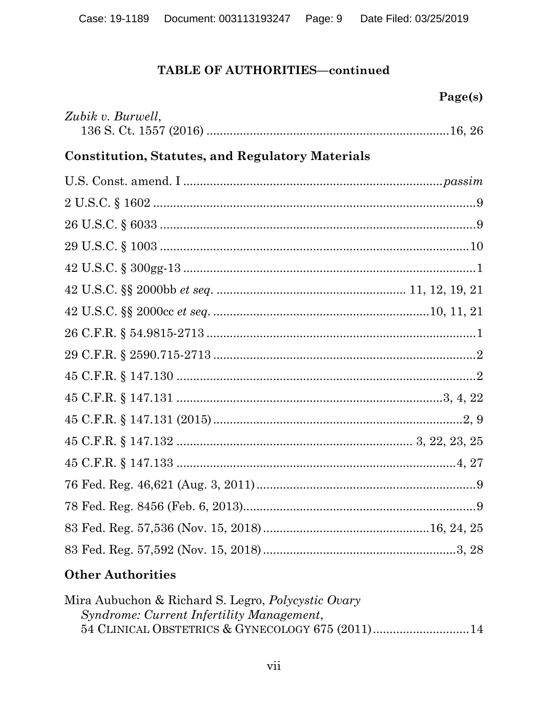|                                                         | Page(s) |
|---------------------------------------------------------|---------|
| Zubik v. Burwell,                                       |         |
| <b>Constitution, Statutes, and Regulatory Materials</b> |         |
|                                                         |         |
|                                                         |         |
|                                                         |         |
|                                                         |         |
|                                                         |         |
|                                                         |         |
|                                                         |         |
|                                                         |         |
|                                                         |         |
|                                                         |         |
|                                                         |         |
|                                                         |         |
|                                                         |         |
|                                                         |         |
|                                                         |         |
|                                                         |         |
|                                                         |         |
|                                                         |         |

# **Other Authorities**

| Mira Aubuchon & Richard S. Legro, <i>Polycystic Ovary</i> |  |
|-----------------------------------------------------------|--|
| Syndrome: Current Infertility Management,                 |  |
| 54 CLINICAL OBSTETRICS & GYNECOLOGY 675 (2011)14          |  |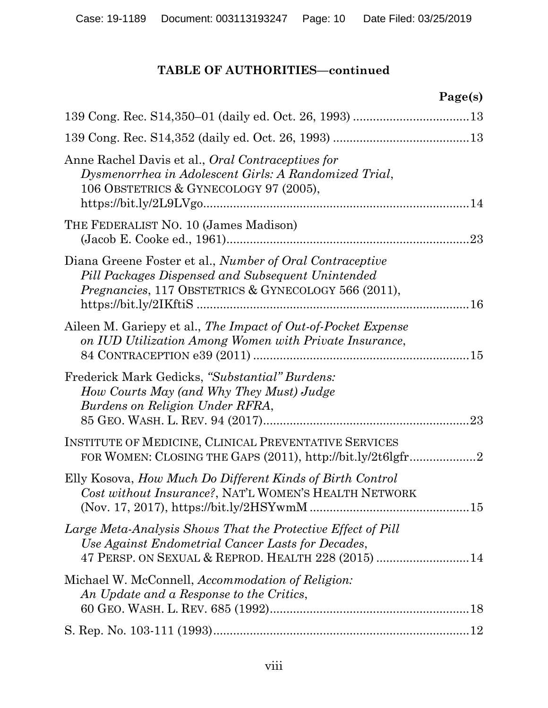|                                                                                                                                                                               | Page(s) |
|-------------------------------------------------------------------------------------------------------------------------------------------------------------------------------|---------|
|                                                                                                                                                                               |         |
|                                                                                                                                                                               |         |
| Anne Rachel Davis et al., Oral Contraceptives for<br>Dysmenorrhea in Adolescent Girls: A Randomized Trial,<br>106 OBSTETRICS & GYNECOLOGY 97 (2005),                          |         |
| THE FEDERALIST NO. 10 (James Madison)                                                                                                                                         |         |
| Diana Greene Foster et al., Number of Oral Contraceptive<br>Pill Packages Dispensed and Subsequent Unintended<br><i>Pregnancies</i> , 117 OBSTETRICS & GYNECOLOGY 566 (2011), |         |
| Aileen M. Gariepy et al., The Impact of Out-of-Pocket Expense<br>on IUD Utilization Among Women with Private Insurance,                                                       |         |
| Frederick Mark Gedicks, "Substantial" Burdens:<br>How Courts May (and Why They Must) Judge<br>Burdens on Religion Under RFRA,                                                 |         |
| INSTITUTE OF MEDICINE, CLINICAL PREVENTATIVE SERVICES<br>FOR WOMEN: CLOSING THE GAPS (2011), http://bit.ly/2t6lgfr2                                                           |         |
| Elly Kosova, How Much Do Different Kinds of Birth Control<br>Cost without Insurance?, NAT'L WOMEN'S HEALTH NETWORK                                                            |         |
| Large Meta-Analysis Shows That the Protective Effect of Pill<br>Use Against Endometrial Cancer Lasts for Decades,<br>47 PERSP. ON SEXUAL & REPROD. HEALTH 228 (2015)  14      |         |
| Michael W. McConnell, Accommodation of Religion:<br>An Update and a Response to the Critics,                                                                                  |         |
|                                                                                                                                                                               |         |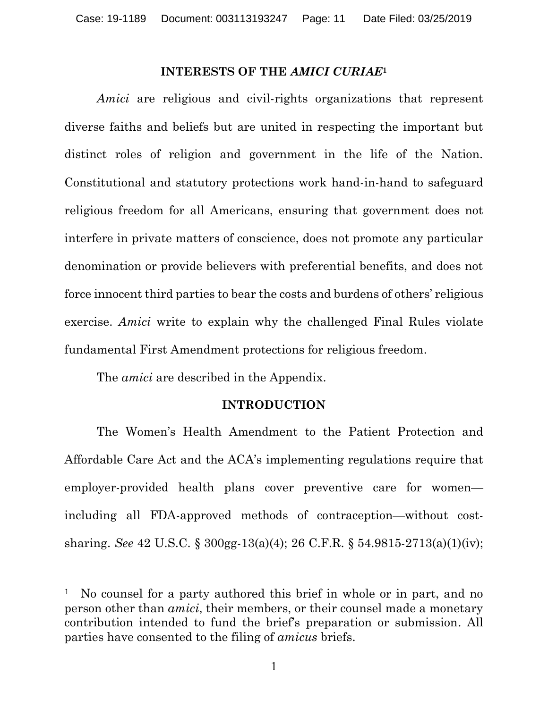#### **INTERESTS OF THE** *AMICI CURIAE***<sup>1</sup>**

<span id="page-10-0"></span>*Amici* are religious and civil-rights organizations that represent diverse faiths and beliefs but are united in respecting the important but distinct roles of religion and government in the life of the Nation. Constitutional and statutory protections work hand-in-hand to safeguard religious freedom for all Americans, ensuring that government does not interfere in private matters of conscience, does not promote any particular denomination or provide believers with preferential benefits, and does not force innocent third parties to bear the costs and burdens of others' religious exercise. *Amici* write to explain why the challenged Final Rules violate fundamental First Amendment protections for religious freedom.

The *amici* are described in the Appendix.

 $\overline{a}$ 

## **INTRODUCTION**

<span id="page-10-1"></span>The Women's Health Amendment to the Patient Protection and Affordable Care Act and the ACA's implementing regulations require that employer-provided health plans cover preventive care for women including all FDA-approved methods of contraception—without costsharing. *See* 42 U.S.C. § 300gg-13(a)(4); 26 C.F.R. § 54.9815-2713(a)(1)(iv);

<sup>&</sup>lt;sup>1</sup> No counsel for a party authored this brief in whole or in part, and no person other than *amici*, their members, or their counsel made a monetary contribution intended to fund the brief's preparation or submission. All parties have consented to the filing of *amicus* briefs.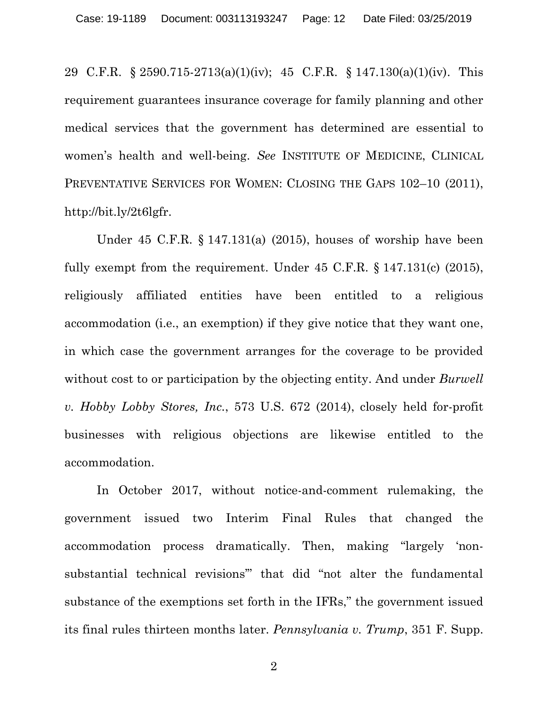29 C.F.R. § 2590.715-2713(a)(1)(iv); 45 C.F.R. § 147.130(a)(1)(iv). This requirement guarantees insurance coverage for family planning and other medical services that the government has determined are essential to women's health and well-being. *See* INSTITUTE OF MEDICINE, CLINICAL PREVENTATIVE SERVICES FOR WOMEN: CLOSING THE GAPS 102–10 (2011), http://bit.ly/2t6lgfr.

Under 45 C.F.R. § 147.131(a) (2015), houses of worship have been fully exempt from the requirement. Under 45 C.F.R. § 147.131(c) (2015), religiously affiliated entities have been entitled to a religious accommodation (i.e., an exemption) if they give notice that they want one, in which case the government arranges for the coverage to be provided without cost to or participation by the objecting entity. And under *Burwell v. Hobby Lobby Stores, Inc.*, 573 U.S. 672 (2014), closely held for-profit businesses with religious objections are likewise entitled to the accommodation.

In October 2017, without notice-and-comment rulemaking, the government issued two Interim Final Rules that changed the accommodation process dramatically. Then, making "largely 'nonsubstantial technical revisions'" that did "not alter the fundamental substance of the exemptions set forth in the IFRs," the government issued its final rules thirteen months later. *Pennsylvania v. Trump*, 351 F. Supp.

2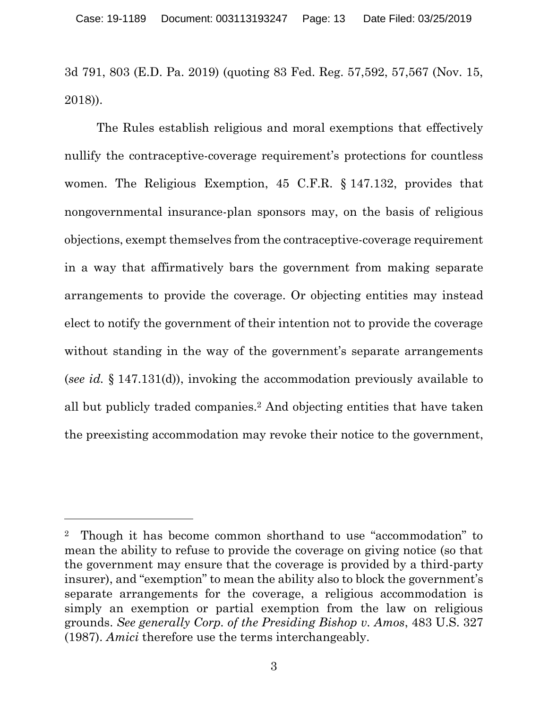3d 791, 803 (E.D. Pa. 2019) (quoting 83 Fed. Reg. 57,592, 57,567 (Nov. 15, 2018)).

The Rules establish religious and moral exemptions that effectively nullify the contraceptive-coverage requirement's protections for countless women. The Religious Exemption, 45 C.F.R. § 147.132, provides that nongovernmental insurance-plan sponsors may, on the basis of religious objections, exempt themselves from the contraceptive-coverage requirement in a way that affirmatively bars the government from making separate arrangements to provide the coverage. Or objecting entities may instead elect to notify the government of their intention not to provide the coverage without standing in the way of the government's separate arrangements (*see id.* § 147.131(d)), invoking the accommodation previously available to all but publicly traded companies. <sup>2</sup> And objecting entities that have taken the preexisting accommodation may revoke their notice to the government,

<sup>2</sup> Though it has become common shorthand to use "accommodation" to mean the ability to refuse to provide the coverage on giving notice (so that the government may ensure that the coverage is provided by a third-party insurer), and "exemption" to mean the ability also to block the government's separate arrangements for the coverage, a religious accommodation is simply an exemption or partial exemption from the law on religious grounds. *See generally Corp. of the Presiding Bishop v. Amos*, 483 U.S. 327 (1987). *Amici* therefore use the terms interchangeably.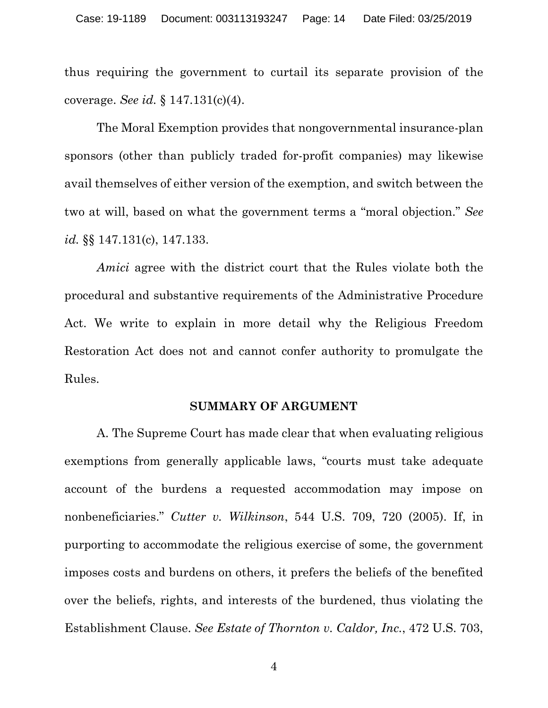thus requiring the government to curtail its separate provision of the coverage. *See id.* § 147.131(c)(4).

The Moral Exemption provides that nongovernmental insurance-plan sponsors (other than publicly traded for-profit companies) may likewise avail themselves of either version of the exemption, and switch between the two at will, based on what the government terms a "moral objection." *See id.* §§ 147.131(c), 147.133.

*Amici* agree with the district court that the Rules violate both the procedural and substantive requirements of the Administrative Procedure Act. We write to explain in more detail why the Religious Freedom Restoration Act does not and cannot confer authority to promulgate the Rules.

#### **SUMMARY OF ARGUMENT**

<span id="page-13-0"></span>A. The Supreme Court has made clear that when evaluating religious exemptions from generally applicable laws, "courts must take adequate account of the burdens a requested accommodation may impose on nonbeneficiaries." *Cutter v. Wilkinson*, 544 U.S. 709, 720 (2005). If, in purporting to accommodate the religious exercise of some, the government imposes costs and burdens on others, it prefers the beliefs of the benefited over the beliefs, rights, and interests of the burdened, thus violating the Establishment Clause. *See Estate of Thornton v. Caldor, Inc.*, 472 U.S. 703,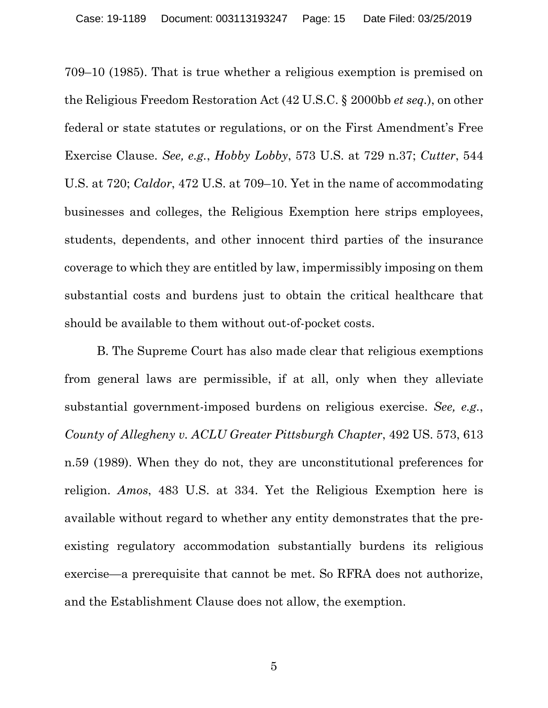709–10 (1985). That is true whether a religious exemption is premised on the Religious Freedom Restoration Act (42 U.S.C. § 2000bb *et seq.*), on other federal or state statutes or regulations, or on the First Amendment's Free Exercise Clause. *See, e.g.*, *Hobby Lobby*, 573 U.S. at 729 n.37; *Cutter*, 544 U.S. at 720; *Caldor*, 472 U.S. at 709–10. Yet in the name of accommodating businesses and colleges, the Religious Exemption here strips employees, students, dependents, and other innocent third parties of the insurance coverage to which they are entitled by law, impermissibly imposing on them substantial costs and burdens just to obtain the critical healthcare that should be available to them without out-of-pocket costs.

B. The Supreme Court has also made clear that religious exemptions from general laws are permissible, if at all, only when they alleviate substantial government-imposed burdens on religious exercise. *See, e.g.*, *County of Allegheny v. ACLU Greater Pittsburgh Chapter*, 492 US. 573, 613 n.59 (1989). When they do not, they are unconstitutional preferences for religion. *Amos*, 483 U.S. at 334. Yet the Religious Exemption here is available without regard to whether any entity demonstrates that the preexisting regulatory accommodation substantially burdens its religious exercise—a prerequisite that cannot be met. So RFRA does not authorize, and the Establishment Clause does not allow, the exemption.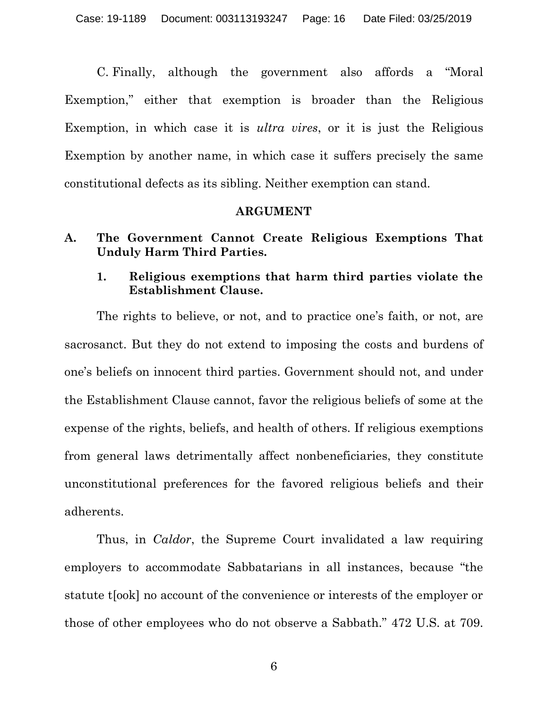C. Finally, although the government also affords a "Moral Exemption," either that exemption is broader than the Religious Exemption, in which case it is *ultra vires*, or it is just the Religious Exemption by another name, in which case it suffers precisely the same constitutional defects as its sibling. Neither exemption can stand.

#### **ARGUMENT**

- <span id="page-15-2"></span><span id="page-15-1"></span><span id="page-15-0"></span>**A. The Government Cannot Create Religious Exemptions That Unduly Harm Third Parties.**
	- **1. Religious exemptions that harm third parties violate the Establishment Clause.**

The rights to believe, or not, and to practice one's faith, or not, are sacrosanct. But they do not extend to imposing the costs and burdens of one's beliefs on innocent third parties. Government should not, and under the Establishment Clause cannot, favor the religious beliefs of some at the expense of the rights, beliefs, and health of others. If religious exemptions from general laws detrimentally affect nonbeneficiaries, they constitute unconstitutional preferences for the favored religious beliefs and their adherents.

Thus, in *Caldor*, the Supreme Court invalidated a law requiring employers to accommodate Sabbatarians in all instances, because "the statute t[ook] no account of the convenience or interests of the employer or those of other employees who do not observe a Sabbath." 472 U.S. at 709.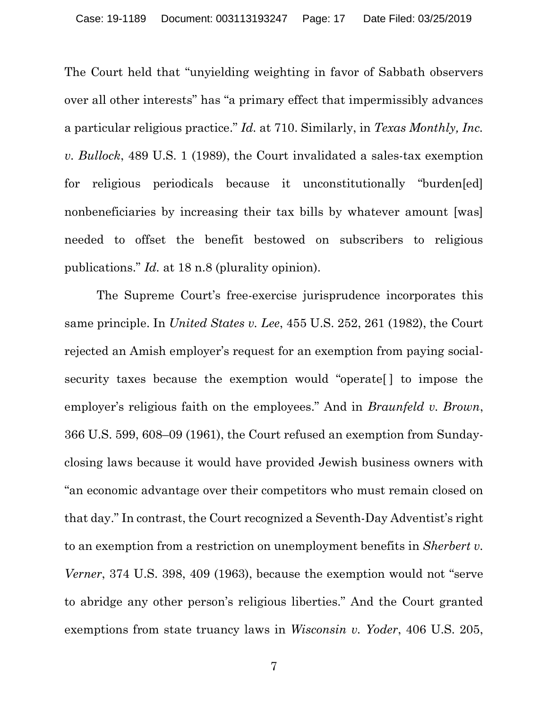The Court held that "unyielding weighting in favor of Sabbath observers over all other interests" has "a primary effect that impermissibly advances a particular religious practice." *Id.* at 710. Similarly, in *Texas Monthly, Inc. v. Bullock*, 489 U.S. 1 (1989), the Court invalidated a sales-tax exemption for religious periodicals because it unconstitutionally "burden[ed] nonbeneficiaries by increasing their tax bills by whatever amount [was] needed to offset the benefit bestowed on subscribers to religious publications." *Id.* at 18 n.8 (plurality opinion).

The Supreme Court's free-exercise jurisprudence incorporates this same principle. In *United States v. Lee*, 455 U.S. 252, 261 (1982), the Court rejected an Amish employer's request for an exemption from paying socialsecurity taxes because the exemption would "operate[ ] to impose the employer's religious faith on the employees." And in *Braunfeld v. Brown*, 366 U.S. 599, 608–09 (1961), the Court refused an exemption from Sundayclosing laws because it would have provided Jewish business owners with "an economic advantage over their competitors who must remain closed on that day." In contrast, the Court recognized a Seventh-Day Adventist's right to an exemption from a restriction on unemployment benefits in *Sherbert v. Verner*, 374 U.S. 398, 409 (1963), because the exemption would not "serve to abridge any other person's religious liberties." And the Court granted exemptions from state truancy laws in *Wisconsin v. Yoder*, 406 U.S. 205,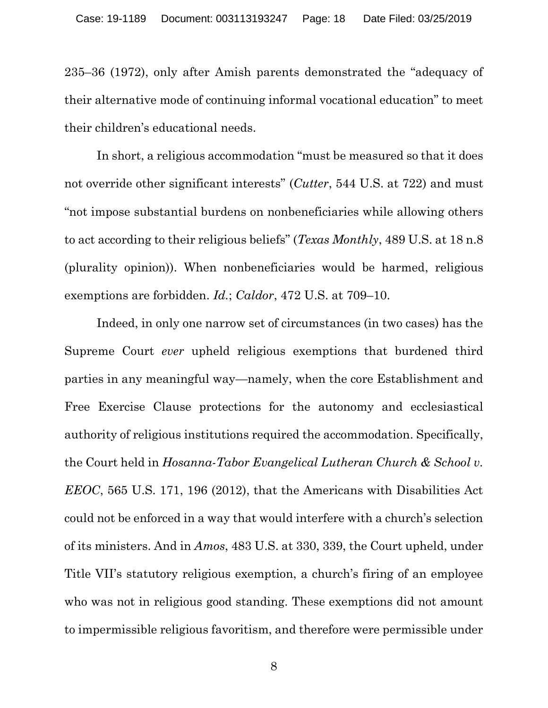235–36 (1972), only after Amish parents demonstrated the "adequacy of their alternative mode of continuing informal vocational education" to meet their children's educational needs.

In short, a religious accommodation "must be measured so that it does not override other significant interests" (*Cutter*, 544 U.S. at 722) and must "not impose substantial burdens on nonbeneficiaries while allowing others to act according to their religious beliefs" (*Texas Monthly*, 489 U.S. at 18 n.8 (plurality opinion)). When nonbeneficiaries would be harmed, religious exemptions are forbidden. *Id.*; *Caldor*, 472 U.S. at 709–10.

Indeed, in only one narrow set of circumstances (in two cases) has the Supreme Court *ever* upheld religious exemptions that burdened third parties in any meaningful way—namely, when the core Establishment and Free Exercise Clause protections for the autonomy and ecclesiastical authority of religious institutions required the accommodation. Specifically, the Court held in *Hosanna-Tabor Evangelical Lutheran Church & School v. EEOC*, 565 U.S. 171, 196 (2012), that the Americans with Disabilities Act could not be enforced in a way that would interfere with a church's selection of its ministers. And in *Amos*, 483 U.S. at 330, 339, the Court upheld, under Title VII's statutory religious exemption, a church's firing of an employee who was not in religious good standing. These exemptions did not amount to impermissible religious favoritism, and therefore were permissible under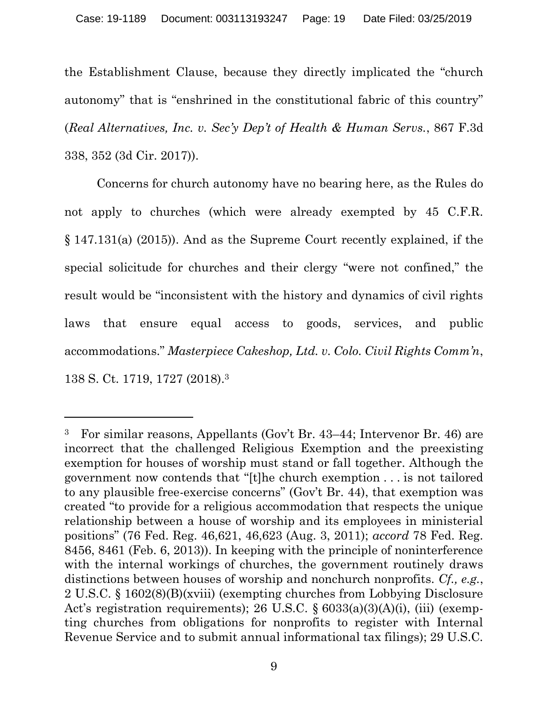the Establishment Clause, because they directly implicated the "church autonomy" that is "enshrined in the constitutional fabric of this country" (*Real Alternatives, Inc. v. Sec'y Dep't of Health & Human Servs.*, 867 F.3d 338, 352 (3d Cir. 2017)).

Concerns for church autonomy have no bearing here, as the Rules do not apply to churches (which were already exempted by 45 C.F.R. § 147.131(a) (2015)). And as the Supreme Court recently explained, if the special solicitude for churches and their clergy "were not confined," the result would be "inconsistent with the history and dynamics of civil rights laws that ensure equal access to goods, services, and public accommodations." *Masterpiece Cakeshop, Ltd. v. Colo. Civil Rights Comm'n*, 138 S. Ct. 1719, 1727 (2018).<sup>3</sup>

<sup>3</sup> For similar reasons, Appellants (Gov't Br. 43–44; Intervenor Br. 46) are incorrect that the challenged Religious Exemption and the preexisting exemption for houses of worship must stand or fall together. Although the government now contends that "[t]he church exemption . . . is not tailored to any plausible free-exercise concerns" (Gov't Br. 44), that exemption was created "to provide for a religious accommodation that respects the unique relationship between a house of worship and its employees in ministerial positions" (76 Fed. Reg. 46,621, 46,623 (Aug. 3, 2011); *accord* 78 Fed. Reg. 8456, 8461 (Feb. 6, 2013)). In keeping with the principle of noninterference with the internal workings of churches, the government routinely draws distinctions between houses of worship and nonchurch nonprofits. *Cf., e.g.*, 2 U.S.C. § 1602(8)(B)(xviii) (exempting churches from Lobbying Disclosure Act's registration requirements); 26 U.S.C. § 6033(a)(3)(A)(i), (iii) (exempting churches from obligations for nonprofits to register with Internal Revenue Service and to submit annual informational tax filings); 29 U.S.C.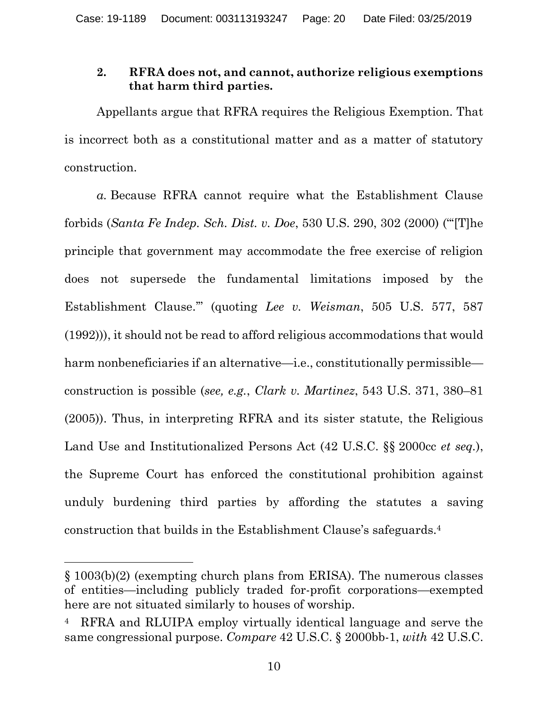## <span id="page-19-0"></span>**2. RFRA does not, and cannot, authorize religious exemptions that harm third parties.**

Appellants argue that RFRA requires the Religious Exemption. That is incorrect both as a constitutional matter and as a matter of statutory construction.

*a.* Because RFRA cannot require what the Establishment Clause forbids (*Santa Fe Indep. Sch. Dist. v. Doe*, 530 U.S. 290, 302 (2000) ("'[T]he principle that government may accommodate the free exercise of religion does not supersede the fundamental limitations imposed by the Establishment Clause.'" (quoting *Lee v. Weisman*, 505 U.S. 577, 587 (1992))), it should not be read to afford religious accommodations that would harm nonbeneficiaries if an alternative—i.e., constitutionally permissible construction is possible (*see, e.g.*, *Clark v. Martinez*, 543 U.S. 371, 380–81 (2005)). Thus, in interpreting RFRA and its sister statute, the Religious Land Use and Institutionalized Persons Act (42 U.S.C. §§ 2000cc *et seq.*), the Supreme Court has enforced the constitutional prohibition against unduly burdening third parties by affording the statutes a saving construction that builds in the Establishment Clause's safeguards. 4

<sup>§</sup> 1003(b)(2) (exempting church plans from ERISA). The numerous classes of entities—including publicly traded for-profit corporations—exempted here are not situated similarly to houses of worship.

<sup>4</sup> RFRA and RLUIPA employ virtually identical language and serve the same congressional purpose. *Compare* 42 U.S.C. § 2000bb-1, *with* 42 U.S.C.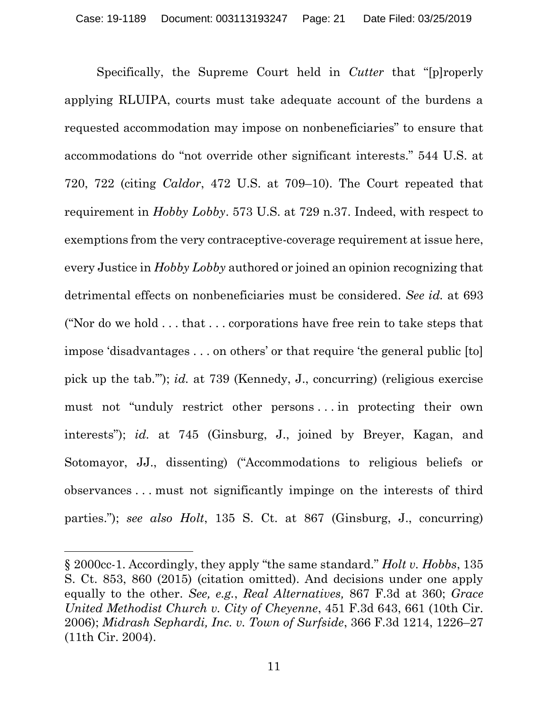Specifically, the Supreme Court held in *Cutter* that "[p]roperly applying RLUIPA, courts must take adequate account of the burdens a requested accommodation may impose on nonbeneficiaries" to ensure that accommodations do "not override other significant interests." 544 U.S. at 720, 722 (citing *Caldor*, 472 U.S. at 709–10). The Court repeated that requirement in *Hobby Lobby*. 573 U.S. at 729 n.37. Indeed, with respect to exemptions from the very contraceptive-coverage requirement at issue here, every Justice in *Hobby Lobby* authored or joined an opinion recognizing that detrimental effects on nonbeneficiaries must be considered. *See id.* at 693 ("Nor do we hold . . . that . . . corporations have free rein to take steps that impose 'disadvantages . . . on others' or that require 'the general public [to] pick up the tab.'"); *id.* at 739 (Kennedy, J., concurring) (religious exercise must not "unduly restrict other persons . . . in protecting their own interests"); *id.* at 745 (Ginsburg, J., joined by Breyer, Kagan, and Sotomayor, JJ., dissenting) ("Accommodations to religious beliefs or observances . . . must not significantly impinge on the interests of third parties."); *see also Holt*, 135 S. Ct. at 867 (Ginsburg, J., concurring)

 $\overline{a}$ 

<sup>§</sup> 2000cc-1. Accordingly, they apply "the same standard." *Holt v. Hobbs*, 135 S. Ct. 853, 860 (2015) (citation omitted). And decisions under one apply equally to the other. *See, e.g.*, *Real Alternatives,* 867 F.3d at 360; *Grace United Methodist Church v. City of Cheyenne*, 451 F.3d 643, 661 (10th Cir. 2006); *Midrash Sephardi, Inc. v. Town of Surfside*, 366 F.3d 1214, 1226–27 (11th Cir. 2004).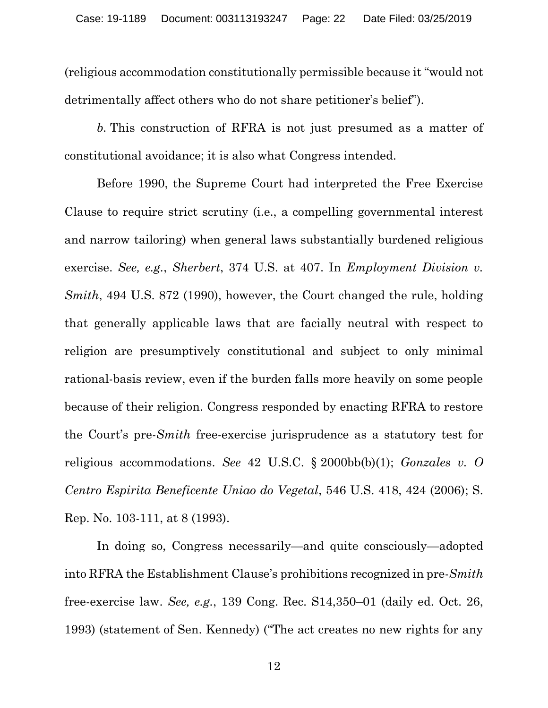(religious accommodation constitutionally permissible because it "would not detrimentally affect others who do not share petitioner's belief").

*b.* This construction of RFRA is not just presumed as a matter of constitutional avoidance; it is also what Congress intended.

Before 1990, the Supreme Court had interpreted the Free Exercise Clause to require strict scrutiny (i.e., a compelling governmental interest and narrow tailoring) when general laws substantially burdened religious exercise. *See, e.g.*, *Sherbert*, 374 U.S. at 407. In *Employment Division v. Smith*, 494 U.S. 872 (1990), however, the Court changed the rule, holding that generally applicable laws that are facially neutral with respect to religion are presumptively constitutional and subject to only minimal rational-basis review, even if the burden falls more heavily on some people because of their religion. Congress responded by enacting RFRA to restore the Court's pre-*Smith* free-exercise jurisprudence as a statutory test for religious accommodations. *See* 42 U.S.C. § 2000bb(b)(1); *Gonzales v. O Centro Espirita Beneficente Uniao do Vegetal*, 546 U.S. 418, 424 (2006); S. Rep. No. 103-111, at 8 (1993).

In doing so, Congress necessarily—and quite consciously—adopted into RFRA the Establishment Clause's prohibitions recognized in pre-*Smith* free-exercise law. *See, e.g.*, 139 Cong. Rec. S14,350–01 (daily ed. Oct. 26, 1993) (statement of Sen. Kennedy) ("The act creates no new rights for any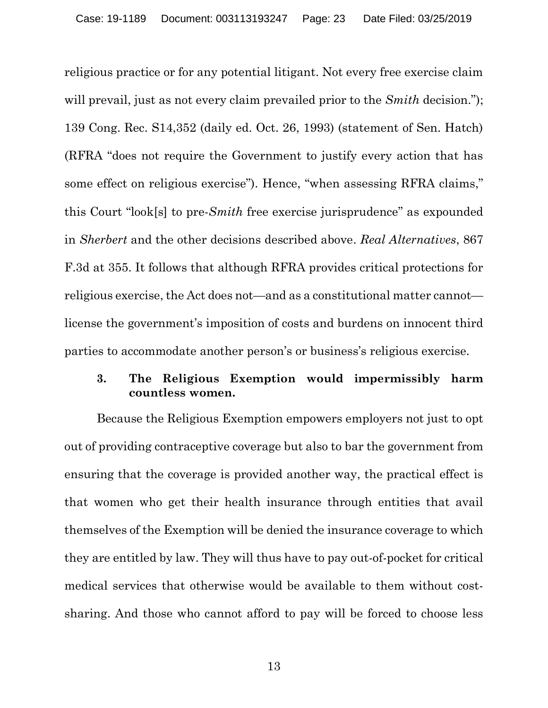religious practice or for any potential litigant. Not every free exercise claim will prevail, just as not every claim prevailed prior to the *Smith* decision."); 139 Cong. Rec. S14,352 (daily ed. Oct. 26, 1993) (statement of Sen. Hatch) (RFRA "does not require the Government to justify every action that has some effect on religious exercise"). Hence, "when assessing RFRA claims," this Court "look[s] to pre-*Smith* free exercise jurisprudence" as expounded in *Sherbert* and the other decisions described above. *Real Alternatives*, 867 F.3d at 355. It follows that although RFRA provides critical protections for religious exercise, the Act does not—and as a constitutional matter cannot license the government's imposition of costs and burdens on innocent third parties to accommodate another person's or business's religious exercise.

## <span id="page-22-0"></span>**3. The Religious Exemption would impermissibly harm countless women.**

Because the Religious Exemption empowers employers not just to opt out of providing contraceptive coverage but also to bar the government from ensuring that the coverage is provided another way, the practical effect is that women who get their health insurance through entities that avail themselves of the Exemption will be denied the insurance coverage to which they are entitled by law. They will thus have to pay out-of-pocket for critical medical services that otherwise would be available to them without costsharing. And those who cannot afford to pay will be forced to choose less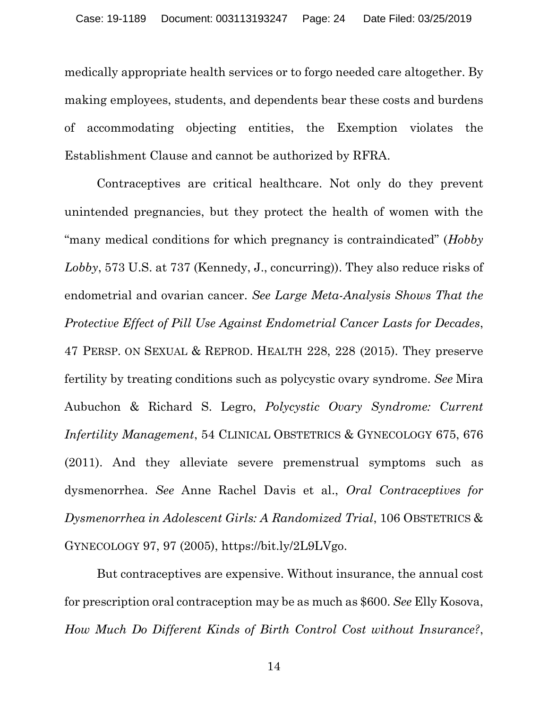medically appropriate health services or to forgo needed care altogether. By making employees, students, and dependents bear these costs and burdens of accommodating objecting entities, the Exemption violates the Establishment Clause and cannot be authorized by RFRA.

Contraceptives are critical healthcare. Not only do they prevent unintended pregnancies, but they protect the health of women with the "many medical conditions for which pregnancy is contraindicated" (*Hobby Lobby*, 573 U.S. at 737 (Kennedy, J., concurring)). They also reduce risks of endometrial and ovarian cancer. *See Large Meta-Analysis Shows That the Protective Effect of Pill Use Against Endometrial Cancer Lasts for Decades*, 47 PERSP. ON SEXUAL & REPROD. HEALTH 228, 228 (2015). They preserve fertility by treating conditions such as polycystic ovary syndrome. *See* Mira Aubuchon & Richard S. Legro, *Polycystic Ovary Syndrome: Current Infertility Management*, 54 CLINICAL OBSTETRICS & GYNECOLOGY 675, 676 (2011). And they alleviate severe premenstrual symptoms such as dysmenorrhea. *See* Anne Rachel Davis et al., *Oral Contraceptives for Dysmenorrhea in Adolescent Girls: A Randomized Trial*, 106 OBSTETRICS & GYNECOLOGY 97, 97 (2005), https://bit.ly/2L9LVgo.

But contraceptives are expensive. Without insurance, the annual cost for prescription oral contraception may be as much as \$600. *See* Elly Kosova, *How Much Do Different Kinds of Birth Control Cost without Insurance?*,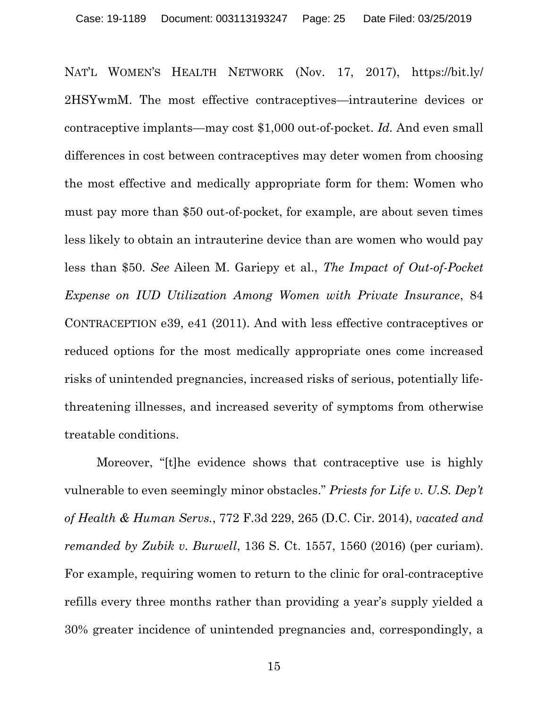NAT'L WOMEN'S HEALTH NETWORK (Nov. 17, 2017), https://bit.ly/ 2HSYwmM. The most effective contraceptives—intrauterine devices or contraceptive implants—may cost \$1,000 out-of-pocket. *Id.* And even small differences in cost between contraceptives may deter women from choosing the most effective and medically appropriate form for them: Women who must pay more than \$50 out-of-pocket, for example, are about seven times less likely to obtain an intrauterine device than are women who would pay less than \$50. *See* Aileen M. Gariepy et al., *The Impact of Out-of-Pocket Expense on IUD Utilization Among Women with Private Insurance*, 84 CONTRACEPTION e39, e41 (2011). And with less effective contraceptives or reduced options for the most medically appropriate ones come increased risks of unintended pregnancies, increased risks of serious, potentially lifethreatening illnesses, and increased severity of symptoms from otherwise treatable conditions.

Moreover, "[t]he evidence shows that contraceptive use is highly vulnerable to even seemingly minor obstacles." *Priests for Life v. U.S. Dep't of Health & Human Servs.*, 772 F.3d 229, 265 (D.C. Cir. 2014), *vacated and remanded by Zubik v. Burwell*, 136 S. Ct. 1557, 1560 (2016) (per curiam). For example, requiring women to return to the clinic for oral-contraceptive refills every three months rather than providing a year's supply yielded a 30% greater incidence of unintended pregnancies and, correspondingly, a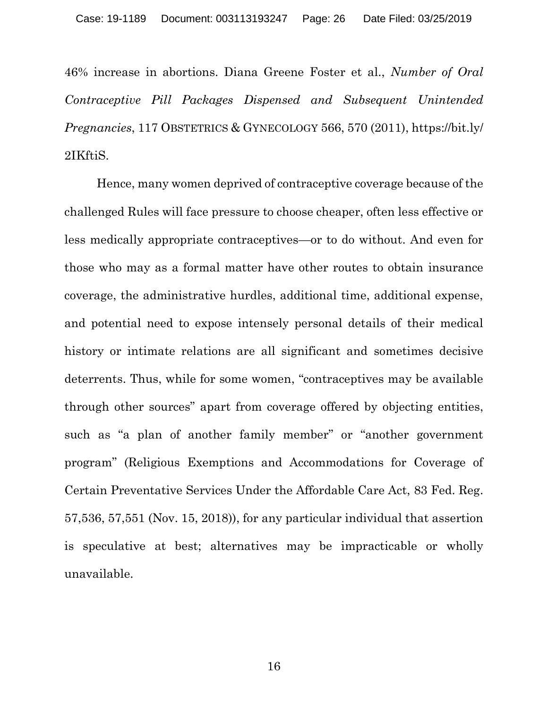46% increase in abortions. Diana Greene Foster et al., *Number of Oral Contraceptive Pill Packages Dispensed and Subsequent Unintended Pregnancies*, 117 OBSTETRICS & GYNECOLOGY 566, 570 (2011), https://bit.ly/ 2IKftiS.

Hence, many women deprived of contraceptive coverage because of the challenged Rules will face pressure to choose cheaper, often less effective or less medically appropriate contraceptives—or to do without. And even for those who may as a formal matter have other routes to obtain insurance coverage, the administrative hurdles, additional time, additional expense, and potential need to expose intensely personal details of their medical history or intimate relations are all significant and sometimes decisive deterrents. Thus, while for some women, "contraceptives may be available through other sources" apart from coverage offered by objecting entities, such as "a plan of another family member" or "another government program" (Religious Exemptions and Accommodations for Coverage of Certain Preventative Services Under the Affordable Care Act, 83 Fed. Reg. 57,536, 57,551 (Nov. 15, 2018)), for any particular individual that assertion is speculative at best; alternatives may be impracticable or wholly unavailable.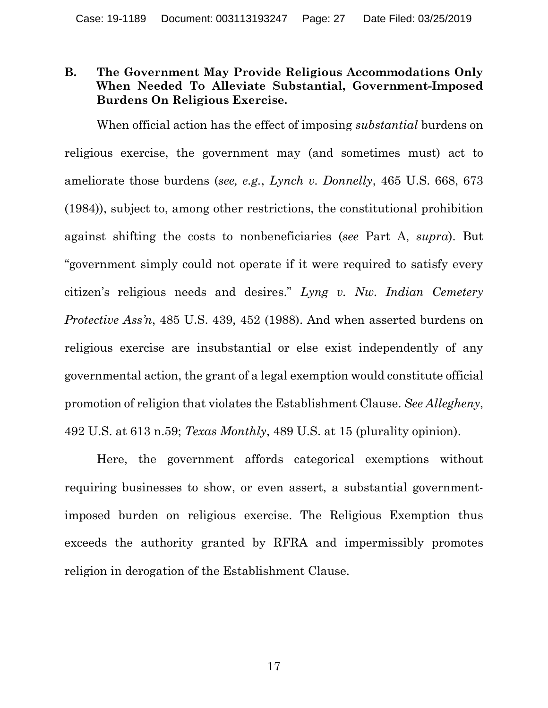## <span id="page-26-0"></span>**B. The Government May Provide Religious Accommodations Only When Needed To Alleviate Substantial, Government-Imposed Burdens On Religious Exercise.**

When official action has the effect of imposing *substantial* burdens on religious exercise, the government may (and sometimes must) act to ameliorate those burdens (*see, e.g.*, *Lynch v. Donnelly*, 465 U.S. 668, 673 (1984)), subject to, among other restrictions, the constitutional prohibition against shifting the costs to nonbeneficiaries (*see* Part A, *supra*). But "government simply could not operate if it were required to satisfy every citizen's religious needs and desires." *Lyng v. Nw. Indian Cemetery Protective Ass'n*, 485 U.S. 439, 452 (1988). And when asserted burdens on religious exercise are insubstantial or else exist independently of any governmental action, the grant of a legal exemption would constitute official promotion of religion that violates the Establishment Clause. *See Allegheny*, 492 U.S. at 613 n.59; *Texas Monthly*, 489 U.S. at 15 (plurality opinion).

Here, the government affords categorical exemptions without requiring businesses to show, or even assert, a substantial governmentimposed burden on religious exercise. The Religious Exemption thus exceeds the authority granted by RFRA and impermissibly promotes religion in derogation of the Establishment Clause.

17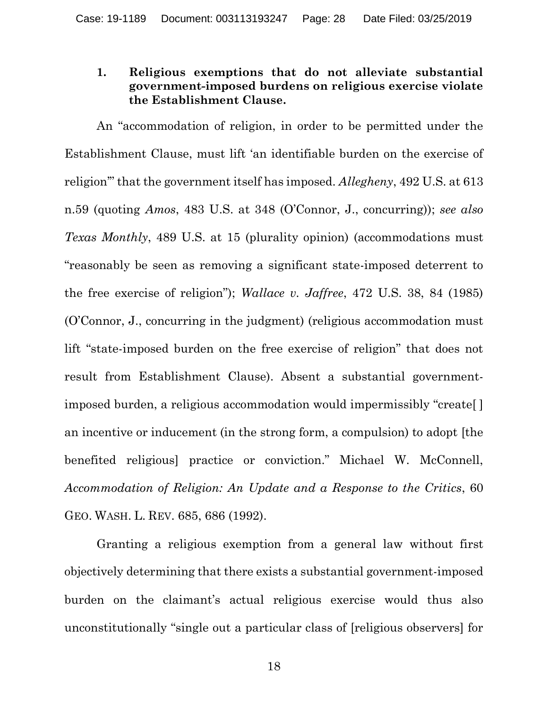## <span id="page-27-0"></span>**1. Religious exemptions that do not alleviate substantial government-imposed burdens on religious exercise violate the Establishment Clause.**

An "accommodation of religion, in order to be permitted under the Establishment Clause, must lift 'an identifiable burden on the exercise of religion'" that the government itself has imposed. *Allegheny*, 492 U.S. at 613 n.59 (quoting *Amos*, 483 U.S. at 348 (O'Connor, J., concurring)); *see also Texas Monthly*, 489 U.S. at 15 (plurality opinion) (accommodations must "reasonably be seen as removing a significant state-imposed deterrent to the free exercise of religion"); *Wallace v. Jaffree*, 472 U.S. 38, 84 (1985) (O'Connor, J., concurring in the judgment) (religious accommodation must lift "state-imposed burden on the free exercise of religion" that does not result from Establishment Clause). Absent a substantial governmentimposed burden, a religious accommodation would impermissibly "create[ ] an incentive or inducement (in the strong form, a compulsion) to adopt [the benefited religious] practice or conviction." Michael W. McConnell, *Accommodation of Religion: An Update and a Response to the Critics*, 60 GEO. WASH. L. REV. 685, 686 (1992).

Granting a religious exemption from a general law without first objectively determining that there exists a substantial government-imposed burden on the claimant's actual religious exercise would thus also unconstitutionally "single out a particular class of [religious observers] for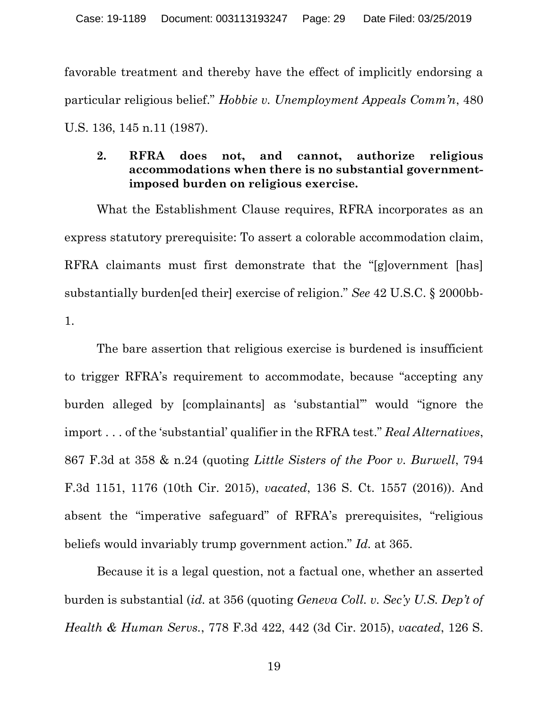favorable treatment and thereby have the effect of implicitly endorsing a particular religious belief." *Hobbie v. Unemployment Appeals Comm'n*, 480 U.S. 136, 145 n.11 (1987).

## <span id="page-28-0"></span>**2. RFRA does not, and cannot, authorize religious accommodations when there is no substantial governmentimposed burden on religious exercise.**

What the Establishment Clause requires, RFRA incorporates as an express statutory prerequisite: To assert a colorable accommodation claim, RFRA claimants must first demonstrate that the "[g]overnment [has] substantially burden[ed their] exercise of religion." *See* 42 U.S.C. § 2000bb-1.

The bare assertion that religious exercise is burdened is insufficient to trigger RFRA's requirement to accommodate, because "accepting any burden alleged by [complainants] as 'substantial'" would "ignore the import . . . of the 'substantial' qualifier in the RFRA test." *Real Alternatives*, 867 F.3d at 358 & n.24 (quoting *Little Sisters of the Poor v. Burwell*, 794 F.3d 1151, 1176 (10th Cir. 2015), *vacated*, 136 S. Ct. 1557 (2016)). And absent the "imperative safeguard" of RFRA's prerequisites, "religious beliefs would invariably trump government action." *Id.* at 365.

Because it is a legal question, not a factual one, whether an asserted burden is substantial (*id.* at 356 (quoting *Geneva Coll. v. Sec'y U.S. Dep't of Health & Human Servs.*, 778 F.3d 422, 442 (3d Cir. 2015), *vacated*, 126 S.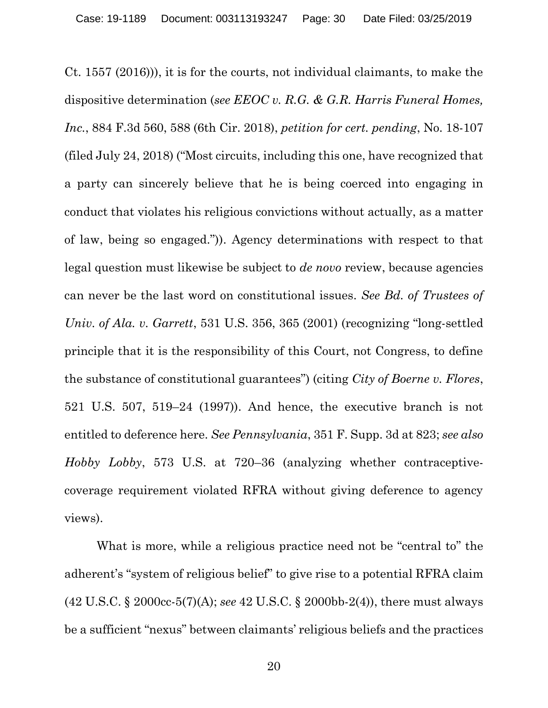Ct. 1557 (2016))), it is for the courts, not individual claimants, to make the dispositive determination (*see EEOC v. R.G. & G.R. Harris Funeral Homes, Inc.*, 884 F.3d 560, 588 (6th Cir. 2018), *petition for cert. pending*, No. 18-107 (filed July 24, 2018) ("Most circuits, including this one, have recognized that a party can sincerely believe that he is being coerced into engaging in conduct that violates his religious convictions without actually, as a matter of law, being so engaged.")). Agency determinations with respect to that legal question must likewise be subject to *de novo* review, because agencies can never be the last word on constitutional issues. *See Bd. of Trustees of Univ. of Ala. v. Garrett*, 531 U.S. 356, 365 (2001) (recognizing "long-settled principle that it is the responsibility of this Court, not Congress, to define the substance of constitutional guarantees") (citing *City of Boerne v. Flores*, 521 U.S. 507, 519–24 (1997)). And hence, the executive branch is not entitled to deference here. *See Pennsylvania*, 351 F. Supp. 3d at 823; *see also Hobby Lobby*, 573 U.S. at 720–36 (analyzing whether contraceptivecoverage requirement violated RFRA without giving deference to agency views).

What is more, while a religious practice need not be "central to" the adherent's "system of religious belief" to give rise to a potential RFRA claim (42 U.S.C. § 2000cc-5(7)(A); *see* 42 U.S.C. § 2000bb-2(4)), there must always be a sufficient "nexus" between claimants' religious beliefs and the practices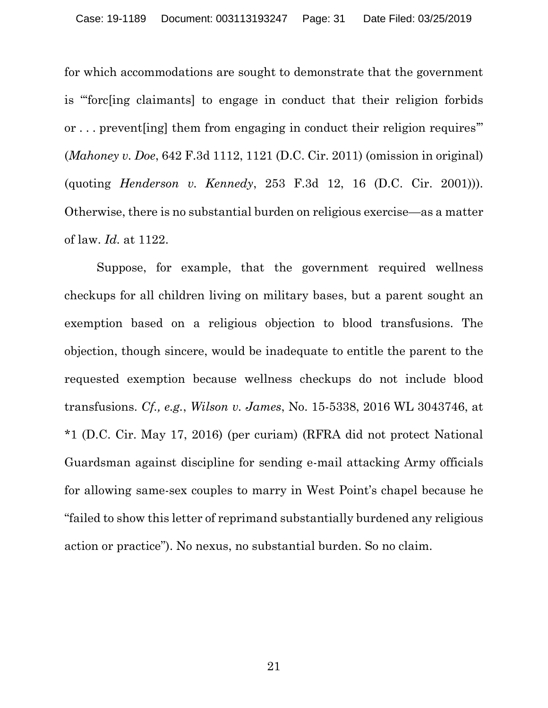for which accommodations are sought to demonstrate that the government is "'forc[ing claimants] to engage in conduct that their religion forbids or . . . prevent[ing] them from engaging in conduct their religion requires'" (*Mahoney v. Doe*, 642 F.3d 1112, 1121 (D.C. Cir. 2011) (omission in original) (quoting *Henderson v. Kennedy*, 253 F.3d 12, 16 (D.C. Cir. 2001))). Otherwise, there is no substantial burden on religious exercise—as a matter of law. *Id.* at 1122.

Suppose, for example, that the government required wellness checkups for all children living on military bases, but a parent sought an exemption based on a religious objection to blood transfusions. The objection, though sincere, would be inadequate to entitle the parent to the requested exemption because wellness checkups do not include blood transfusions. *Cf., e.g.*, *Wilson v. James*, No. 15-5338, 2016 WL 3043746, at \*1 (D.C. Cir. May 17, 2016) (per curiam) (RFRA did not protect National Guardsman against discipline for sending e-mail attacking Army officials for allowing same-sex couples to marry in West Point's chapel because he "failed to show this letter of reprimand substantially burdened any religious action or practice"). No nexus, no substantial burden. So no claim.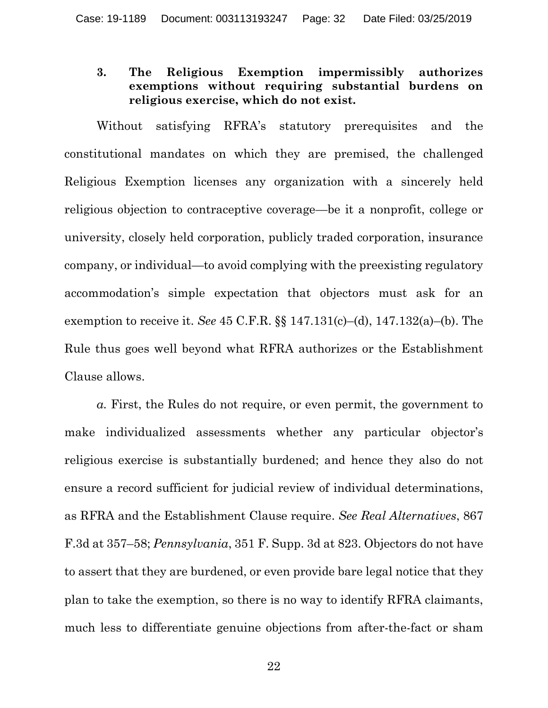## <span id="page-31-0"></span>**3. The Religious Exemption impermissibly authorizes exemptions without requiring substantial burdens on religious exercise, which do not exist.**

Without satisfying RFRA's statutory prerequisites and the constitutional mandates on which they are premised, the challenged Religious Exemption licenses any organization with a sincerely held religious objection to contraceptive coverage—be it a nonprofit, college or university, closely held corporation, publicly traded corporation, insurance company, or individual—to avoid complying with the preexisting regulatory accommodation's simple expectation that objectors must ask for an exemption to receive it. *See* 45 C.F.R. §§ 147.131(c)–(d), 147.132(a)–(b). The Rule thus goes well beyond what RFRA authorizes or the Establishment Clause allows.

*a.* First, the Rules do not require, or even permit, the government to make individualized assessments whether any particular objector's religious exercise is substantially burdened; and hence they also do not ensure a record sufficient for judicial review of individual determinations, as RFRA and the Establishment Clause require. *See Real Alternatives*, 867 F.3d at 357–58; *Pennsylvania*, 351 F. Supp. 3d at 823. Objectors do not have to assert that they are burdened, or even provide bare legal notice that they plan to take the exemption, so there is no way to identify RFRA claimants, much less to differentiate genuine objections from after-the-fact or sham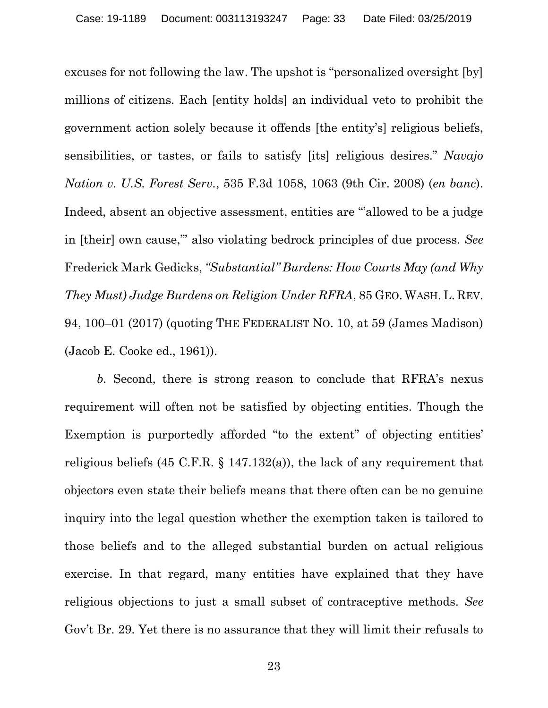excuses for not following the law. The upshot is "personalized oversight [by] millions of citizens. Each [entity holds] an individual veto to prohibit the government action solely because it offends [the entity's] religious beliefs, sensibilities, or tastes, or fails to satisfy [its] religious desires." *Navajo Nation v. U.S. Forest Serv.*, 535 F.3d 1058, 1063 (9th Cir. 2008) (*en banc*). Indeed, absent an objective assessment, entities are "'allowed to be a judge in [their] own cause,'" also violating bedrock principles of due process. *See* Frederick Mark Gedicks, *"Substantial" Burdens: How Courts May (and Why They Must) Judge Burdens on Religion Under RFRA*, 85 GEO. WASH. L. REV. 94, 100–01 (2017) (quoting THE FEDERALIST NO. 10, at 59 (James Madison) (Jacob E. Cooke ed., 1961)).

*b.* Second, there is strong reason to conclude that RFRA's nexus requirement will often not be satisfied by objecting entities. Though the Exemption is purportedly afforded "to the extent" of objecting entities' religious beliefs (45 C.F.R. § 147.132(a)), the lack of any requirement that objectors even state their beliefs means that there often can be no genuine inquiry into the legal question whether the exemption taken is tailored to those beliefs and to the alleged substantial burden on actual religious exercise. In that regard, many entities have explained that they have religious objections to just a small subset of contraceptive methods. *See* Gov't Br. 29. Yet there is no assurance that they will limit their refusals to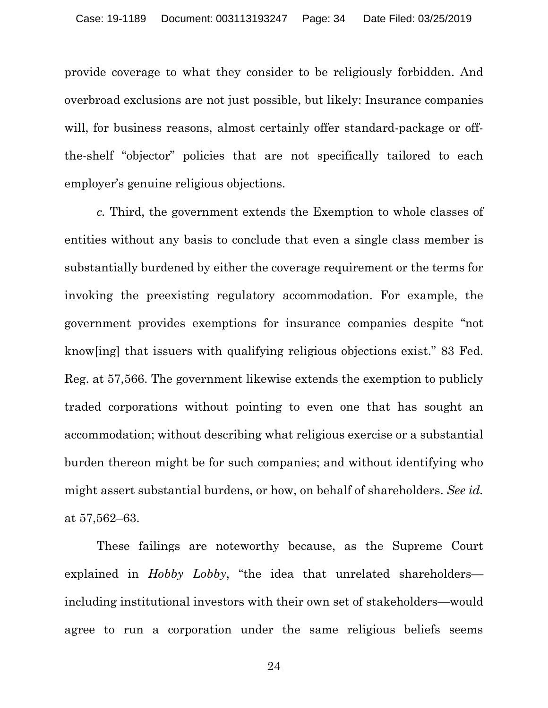provide coverage to what they consider to be religiously forbidden. And overbroad exclusions are not just possible, but likely: Insurance companies will, for business reasons, almost certainly offer standard-package or offthe-shelf "objector" policies that are not specifically tailored to each employer's genuine religious objections.

*c.* Third, the government extends the Exemption to whole classes of entities without any basis to conclude that even a single class member is substantially burdened by either the coverage requirement or the terms for invoking the preexisting regulatory accommodation. For example, the government provides exemptions for insurance companies despite "not know[ing] that issuers with qualifying religious objections exist." 83 Fed. Reg. at 57,566. The government likewise extends the exemption to publicly traded corporations without pointing to even one that has sought an accommodation; without describing what religious exercise or a substantial burden thereon might be for such companies; and without identifying who might assert substantial burdens, or how, on behalf of shareholders. *See id.* at 57,562–63.

These failings are noteworthy because, as the Supreme Court explained in *Hobby Lobby*, "the idea that unrelated shareholders including institutional investors with their own set of stakeholders—would agree to run a corporation under the same religious beliefs seems

24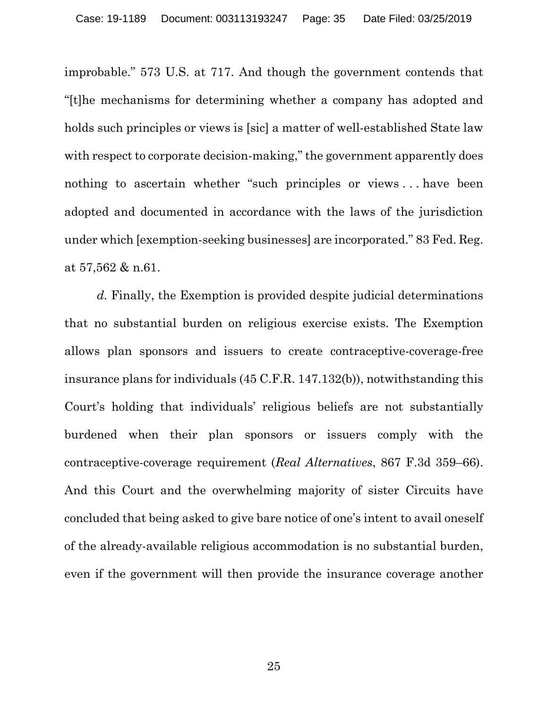improbable." 573 U.S. at 717. And though the government contends that "[t]he mechanisms for determining whether a company has adopted and holds such principles or views is [sic] a matter of well-established State law with respect to corporate decision-making," the government apparently does nothing to ascertain whether "such principles or views . . . have been adopted and documented in accordance with the laws of the jurisdiction under which [exemption-seeking businesses] are incorporated." 83 Fed. Reg. at 57,562 & n.61.

*d.* Finally, the Exemption is provided despite judicial determinations that no substantial burden on religious exercise exists. The Exemption allows plan sponsors and issuers to create contraceptive-coverage-free insurance plans for individuals (45 C.F.R. 147.132(b)), notwithstanding this Court's holding that individuals' religious beliefs are not substantially burdened when their plan sponsors or issuers comply with the contraceptive-coverage requirement (*Real Alternatives*, 867 F.3d 359–66). And this Court and the overwhelming majority of sister Circuits have concluded that being asked to give bare notice of one's intent to avail oneself of the already-available religious accommodation is no substantial burden, even if the government will then provide the insurance coverage another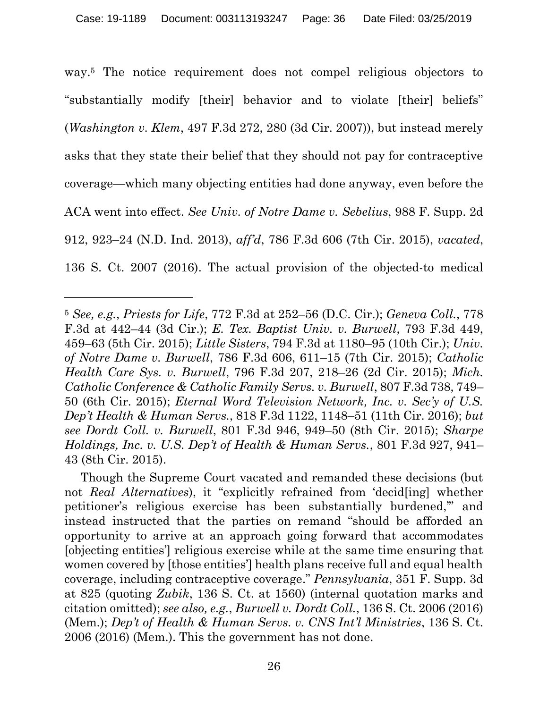way. <sup>5</sup> The notice requirement does not compel religious objectors to "substantially modify [their] behavior and to violate [their] beliefs" (*Washington v. Klem*, 497 F.3d 272, 280 (3d Cir. 2007)), but instead merely asks that they state their belief that they should not pay for contraceptive coverage—which many objecting entities had done anyway, even before the ACA went into effect. *See Univ. of Notre Dame v. Sebelius*, 988 F. Supp. 2d 912, 923–24 (N.D. Ind. 2013), *aff'd*, 786 F.3d 606 (7th Cir. 2015), *vacated*, 136 S. Ct. 2007 (2016). The actual provision of the objected-to medical

 $\overline{a}$ 

<sup>5</sup> *See, e.g.*, *Priests for Life*, 772 F.3d at 252–56 (D.C. Cir.); *Geneva Coll.*, 778 F.3d at 442–44 (3d Cir.); *E. Tex. Baptist Univ. v. Burwell*, 793 F.3d 449, 459–63 (5th Cir. 2015); *Little Sisters*, 794 F.3d at 1180–95 (10th Cir.); *Univ. of Notre Dame v. Burwell*, 786 F.3d 606, 611–15 (7th Cir. 2015); *Catholic Health Care Sys. v. Burwell*, 796 F.3d 207, 218–26 (2d Cir. 2015); *Mich. Catholic Conference & Catholic Family Servs. v. Burwell*, 807 F.3d 738, 749– 50 (6th Cir. 2015); *Eternal Word Television Network, Inc. v. Sec'y of U.S. Dep't Health & Human Servs.*, 818 F.3d 1122, 1148–51 (11th Cir. 2016); *but see Dordt Coll. v. Burwell*, 801 F.3d 946, 949–50 (8th Cir. 2015); *Sharpe Holdings, Inc. v. U.S. Dep't of Health & Human Servs.*, 801 F.3d 927, 941– 43 (8th Cir. 2015).

Though the Supreme Court vacated and remanded these decisions (but not *Real Alternatives*), it "explicitly refrained from 'decid[ing] whether petitioner's religious exercise has been substantially burdened,'" and instead instructed that the parties on remand "should be afforded an opportunity to arrive at an approach going forward that accommodates [objecting entities'] religious exercise while at the same time ensuring that women covered by [those entities'] health plans receive full and equal health coverage, including contraceptive coverage." *Pennsylvania*, 351 F. Supp. 3d at 825 (quoting *Zubik*, 136 S. Ct. at 1560) (internal quotation marks and citation omitted); *see also, e.g.*, *Burwell v. Dordt Coll.*, 136 S. Ct. 2006 (2016) (Mem.); *Dep't of Health & Human Servs. v. CNS Int'l Ministries*, 136 S. Ct. 2006 (2016) (Mem.). This the government has not done.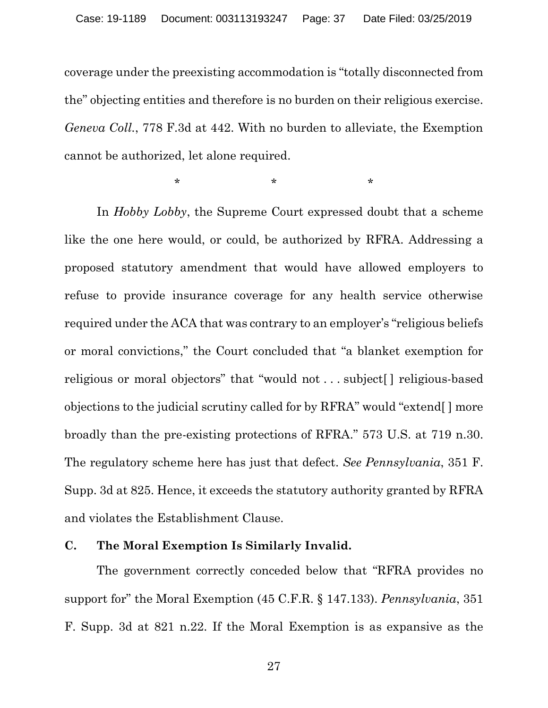coverage under the preexisting accommodation is "totally disconnected from the" objecting entities and therefore is no burden on their religious exercise. *Geneva Coll.*, 778 F.3d at 442. With no burden to alleviate, the Exemption cannot be authorized, let alone required.

 $\star$  \* \* \* \*

In *Hobby Lobby*, the Supreme Court expressed doubt that a scheme like the one here would, or could, be authorized by RFRA. Addressing a proposed statutory amendment that would have allowed employers to refuse to provide insurance coverage for any health service otherwise required under the ACA that was contrary to an employer's "religious beliefs or moral convictions," the Court concluded that "a blanket exemption for religious or moral objectors" that "would not . . . subject[ ] religious-based objections to the judicial scrutiny called for by RFRA" would "extend[ ] more broadly than the pre-existing protections of RFRA." 573 U.S. at 719 n.30. The regulatory scheme here has just that defect. *See Pennsylvania*, 351 F. Supp. 3d at 825. Hence, it exceeds the statutory authority granted by RFRA and violates the Establishment Clause.

### <span id="page-36-0"></span>**C. The Moral Exemption Is Similarly Invalid.**

The government correctly conceded below that "RFRA provides no support for" the Moral Exemption (45 C.F.R. § 147.133). *Pennsylvania*, 351 F. Supp. 3d at 821 n.22. If the Moral Exemption is as expansive as the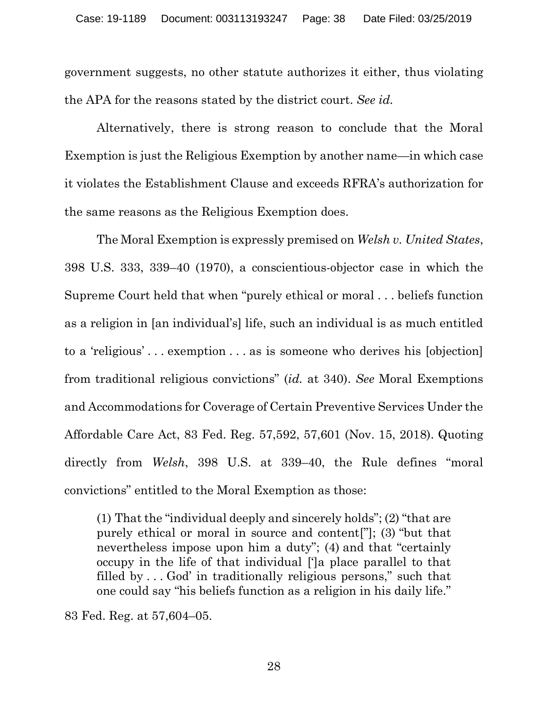government suggests, no other statute authorizes it either, thus violating the APA for the reasons stated by the district court. *See id.*

Alternatively, there is strong reason to conclude that the Moral Exemption is just the Religious Exemption by another name—in which case it violates the Establishment Clause and exceeds RFRA's authorization for the same reasons as the Religious Exemption does.

The Moral Exemption is expressly premised on *Welsh v. United States*, 398 U.S. 333, 339–40 (1970), a conscientious-objector case in which the Supreme Court held that when "purely ethical or moral . . . beliefs function as a religion in [an individual's] life, such an individual is as much entitled to a 'religious' . . . exemption . . . as is someone who derives his [objection] from traditional religious convictions" (*id.* at 340). *See* Moral Exemptions and Accommodations for Coverage of Certain Preventive Services Under the Affordable Care Act, 83 Fed. Reg. 57,592, 57,601 (Nov. 15, 2018). Quoting directly from *Welsh*, 398 U.S. at 339–40, the Rule defines "moral convictions" entitled to the Moral Exemption as those:

(1) That the "individual deeply and sincerely holds"; (2) "that are purely ethical or moral in source and content["]; (3) "but that nevertheless impose upon him a duty"; (4) and that "certainly occupy in the life of that individual [']a place parallel to that filled by . . . God' in traditionally religious persons," such that one could say "his beliefs function as a religion in his daily life."

83 Fed. Reg. at 57,604–05.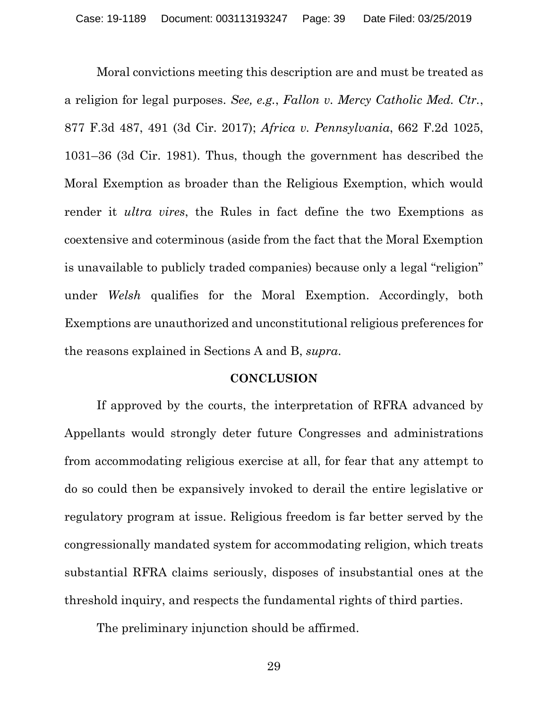Moral convictions meeting this description are and must be treated as a religion for legal purposes. *See, e.g.*, *Fallon v. Mercy Catholic Med. Ctr.*, 877 F.3d 487, 491 (3d Cir. 2017); *Africa v. Pennsylvania*, 662 F.2d 1025, 1031–36 (3d Cir. 1981). Thus, though the government has described the Moral Exemption as broader than the Religious Exemption, which would render it *ultra vires*, the Rules in fact define the two Exemptions as coextensive and coterminous (aside from the fact that the Moral Exemption is unavailable to publicly traded companies) because only a legal "religion" under *Welsh* qualifies for the Moral Exemption. Accordingly, both Exemptions are unauthorized and unconstitutional religious preferences for the reasons explained in Sections A and B, *supra*.

#### **CONCLUSION**

<span id="page-38-0"></span>If approved by the courts, the interpretation of RFRA advanced by Appellants would strongly deter future Congresses and administrations from accommodating religious exercise at all, for fear that any attempt to do so could then be expansively invoked to derail the entire legislative or regulatory program at issue. Religious freedom is far better served by the congressionally mandated system for accommodating religion, which treats substantial RFRA claims seriously, disposes of insubstantial ones at the threshold inquiry, and respects the fundamental rights of third parties.

The preliminary injunction should be affirmed.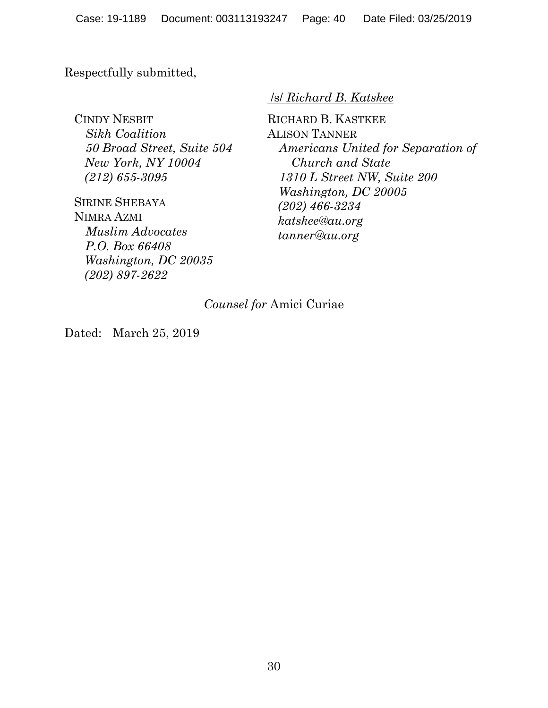Respectfully submitted,

CINDY NESBIT *Sikh Coalition 50 Broad Street, Suite 504 New York, NY 10004 (212) 655-3095*

SIRINE SHEBAYA NIMRA AZMI *Muslim Advocates P.O. Box 66408 Washington, DC 20035 (202) 897-2622*

### /s/ *Richard B. Katskee*

RICHARD B. KASTKEE ALISON TANNER *Americans United for Separation of Church and State 1310 L Street NW, Suite 200 Washington, DC 20005 (202) 466-3234 katskee@au.org tanner@au.org*

## *Counsel for* Amici Curiae

Dated: March 25, 2019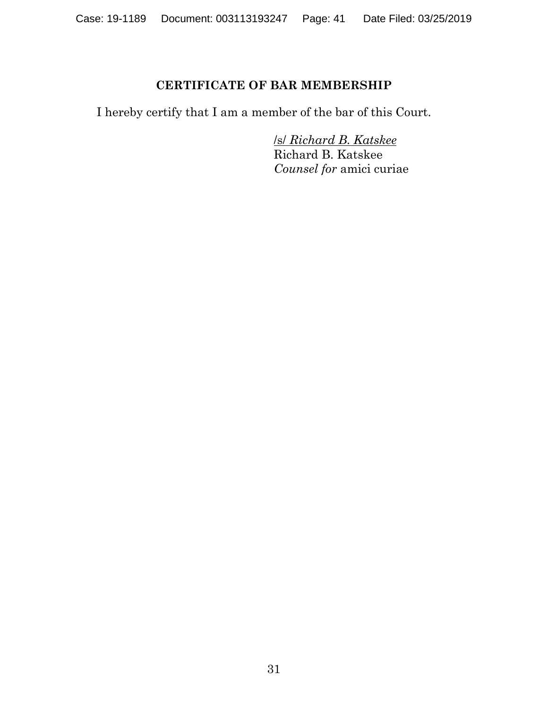## **CERTIFICATE OF BAR MEMBERSHIP**

<span id="page-40-0"></span>I hereby certify that I am a member of the bar of this Court.

/s/ *Richard B. Katskee* Richard B. Katskee *Counsel for* amici curiae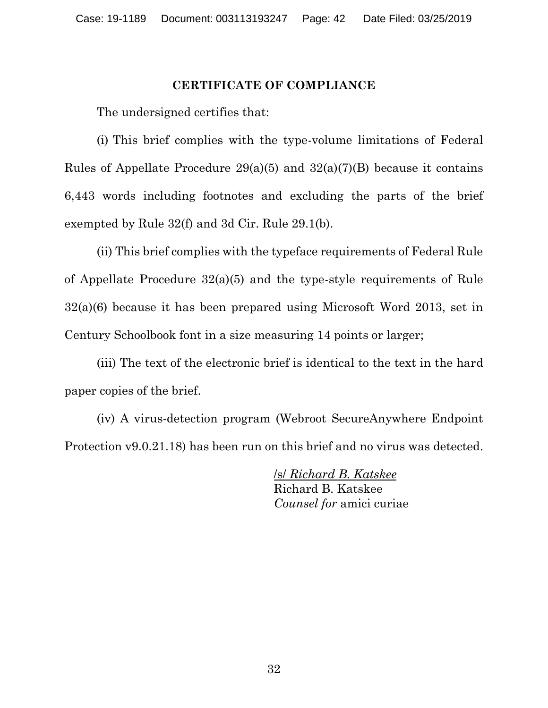## **CERTIFICATE OF COMPLIANCE**

<span id="page-41-0"></span>The undersigned certifies that:

(i) This brief complies with the type-volume limitations of Federal Rules of Appellate Procedure  $29(a)(5)$  and  $32(a)(7)(B)$  because it contains 6,443 words including footnotes and excluding the parts of the brief exempted by Rule 32(f) and 3d Cir. Rule 29.1(b).

(ii) This brief complies with the typeface requirements of Federal Rule of Appellate Procedure 32(a)(5) and the type-style requirements of Rule 32(a)(6) because it has been prepared using Microsoft Word 2013, set in Century Schoolbook font in a size measuring 14 points or larger;

(iii) The text of the electronic brief is identical to the text in the hard paper copies of the brief.

(iv) A virus-detection program (Webroot SecureAnywhere Endpoint Protection v9.0.21.18) has been run on this brief and no virus was detected.

> /s/ *Richard B. Katskee* Richard B. Katskee *Counsel for* amici curiae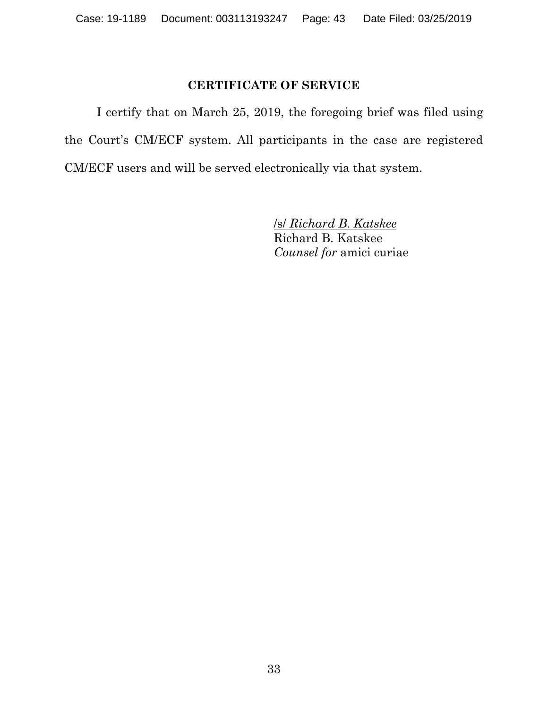## **CERTIFICATE OF SERVICE**

<span id="page-42-0"></span>I certify that on March 25, 2019, the foregoing brief was filed using the Court's CM/ECF system. All participants in the case are registered CM/ECF users and will be served electronically via that system.

> /s/ *Richard B. Katskee* Richard B. Katskee *Counsel for* amici curiae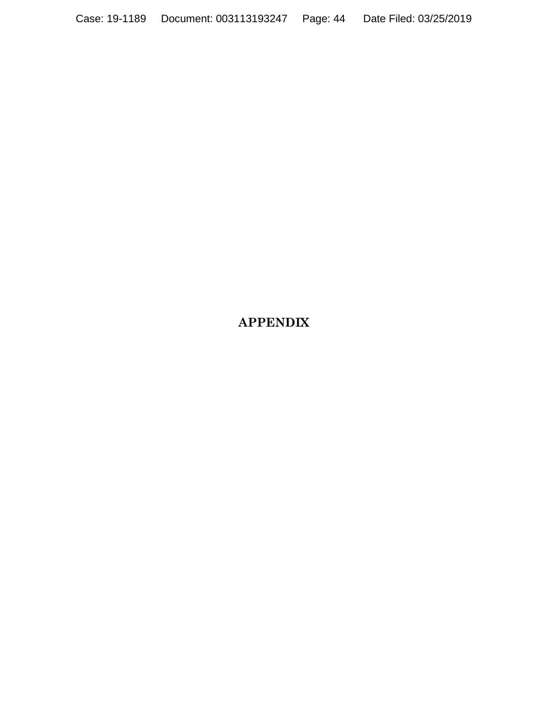# **APPENDIX**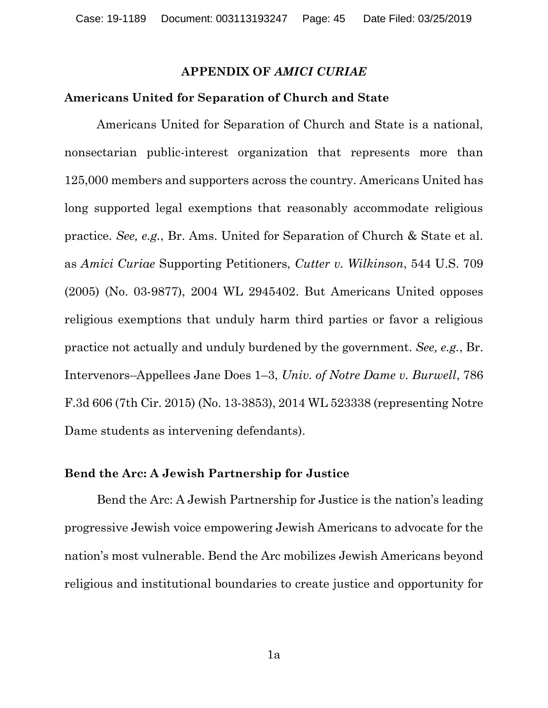#### **APPENDIX OF** *AMICI CURIAE*

#### **Americans United for Separation of Church and State**

Americans United for Separation of Church and State is a national, nonsectarian public-interest organization that represents more than 125,000 members and supporters across the country. Americans United has long supported legal exemptions that reasonably accommodate religious practice. *See, e.g.*, Br. Ams. United for Separation of Church & State et al. as *Amici Curiae* Supporting Petitioners, *Cutter v. Wilkinson*, 544 U.S. 709 (2005) (No. 03-9877), 2004 WL 2945402. But Americans United opposes religious exemptions that unduly harm third parties or favor a religious practice not actually and unduly burdened by the government. *See, e.g.*, Br. Intervenors–Appellees Jane Does 1–3, *Univ. of Notre Dame v. Burwell*, 786 F.3d 606 (7th Cir. 2015) (No. 13-3853), 2014 WL 523338 (representing Notre Dame students as intervening defendants).

#### **Bend the Arc: A Jewish Partnership for Justice**

Bend the Arc: A Jewish Partnership for Justice is the nation's leading progressive Jewish voice empowering Jewish Americans to advocate for the nation's most vulnerable. Bend the Arc mobilizes Jewish Americans beyond religious and institutional boundaries to create justice and opportunity for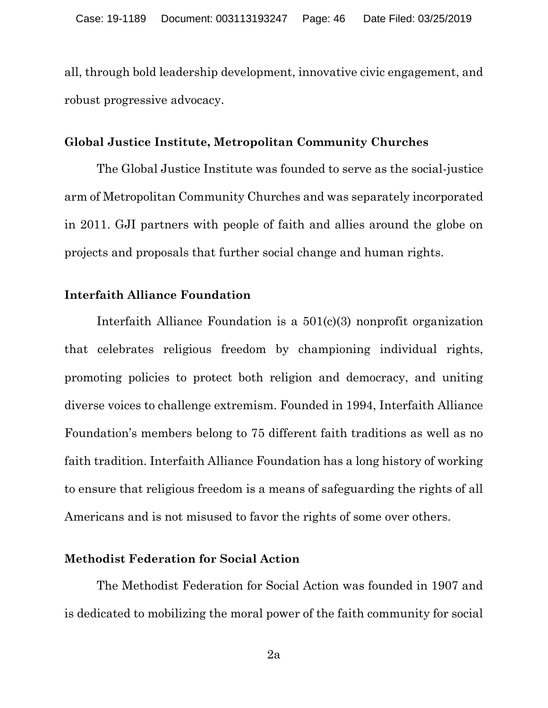all, through bold leadership development, innovative civic engagement, and robust progressive advocacy.

#### **Global Justice Institute, Metropolitan Community Churches**

The Global Justice Institute was founded to serve as the social-justice arm of Metropolitan Community Churches and was separately incorporated in 2011. GJI partners with people of faith and allies around the globe on projects and proposals that further social change and human rights.

### **Interfaith Alliance Foundation**

Interfaith Alliance Foundation is a 501(c)(3) nonprofit organization that celebrates religious freedom by championing individual rights, promoting policies to protect both religion and democracy, and uniting diverse voices to challenge extremism. Founded in 1994, Interfaith Alliance Foundation's members belong to 75 different faith traditions as well as no faith tradition. Interfaith Alliance Foundation has a long history of working to ensure that religious freedom is a means of safeguarding the rights of all Americans and is not misused to favor the rights of some over others.

### **Methodist Federation for Social Action**

The Methodist Federation for Social Action was founded in 1907 and is dedicated to mobilizing the moral power of the faith community for social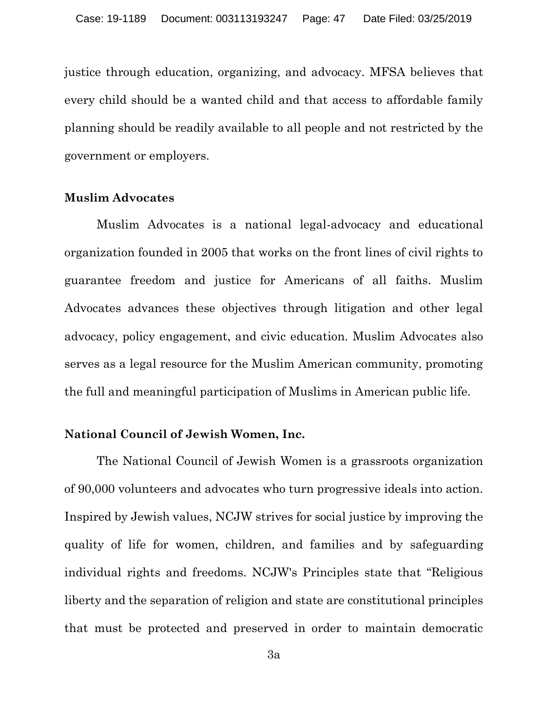justice through education, organizing, and advocacy. MFSA believes that every child should be a wanted child and that access to affordable family planning should be readily available to all people and not restricted by the government or employers.

## **Muslim Advocates**

Muslim Advocates is a national legal-advocacy and educational organization founded in 2005 that works on the front lines of civil rights to guarantee freedom and justice for Americans of all faiths. Muslim Advocates advances these objectives through litigation and other legal advocacy, policy engagement, and civic education. Muslim Advocates also serves as a legal resource for the Muslim American community, promoting the full and meaningful participation of Muslims in American public life.

### **National Council of Jewish Women, Inc.**

The National Council of Jewish Women is a grassroots organization of 90,000 volunteers and advocates who turn progressive ideals into action. Inspired by Jewish values, NCJW strives for social justice by improving the quality of life for women, children, and families and by safeguarding individual rights and freedoms. NCJW's Principles state that "Religious liberty and the separation of religion and state are constitutional principles that must be protected and preserved in order to maintain democratic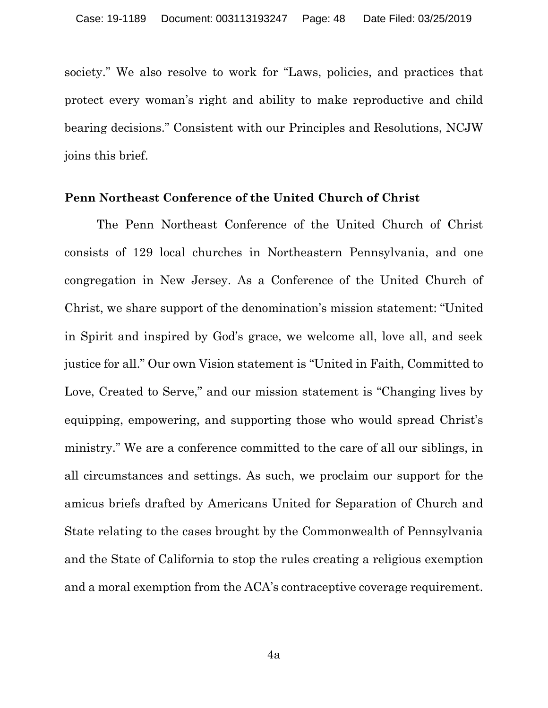society." We also resolve to work for "Laws, policies, and practices that protect every woman's right and ability to make reproductive and child bearing decisions." Consistent with our Principles and Resolutions, NCJW joins this brief.

#### **Penn Northeast Conference of the United Church of Christ**

The Penn Northeast Conference of the United Church of Christ consists of 129 local churches in Northeastern Pennsylvania, and one congregation in New Jersey. As a Conference of the United Church of Christ, we share support of the denomination's mission statement: "United in Spirit and inspired by God's grace, we welcome all, love all, and seek justice for all." Our own Vision statement is "United in Faith, Committed to Love, Created to Serve," and our mission statement is "Changing lives by equipping, empowering, and supporting those who would spread Christ's ministry." We are a conference committed to the care of all our siblings, in all circumstances and settings. As such, we proclaim our support for the amicus briefs drafted by Americans United for Separation of Church and State relating to the cases brought by the Commonwealth of Pennsylvania and the State of California to stop the rules creating a religious exemption and a moral exemption from the ACA's contraceptive coverage requirement.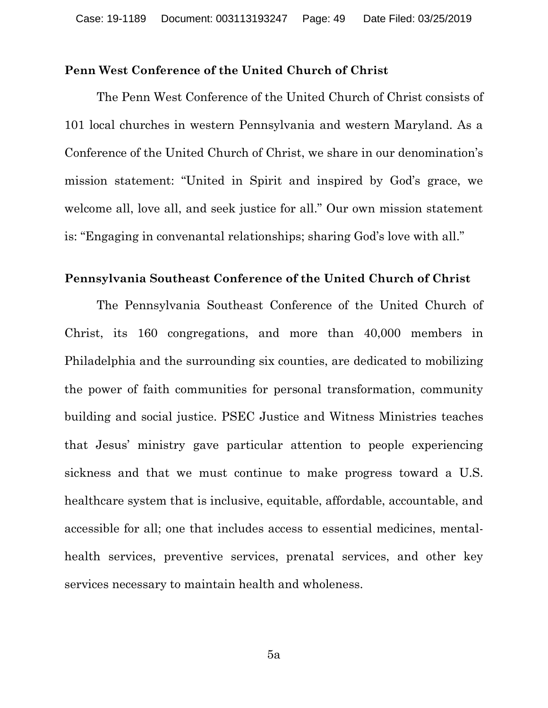### **Penn West Conference of the United Church of Christ**

The Penn West Conference of the United Church of Christ consists of 101 local churches in western Pennsylvania and western Maryland. As a Conference of the United Church of Christ, we share in our denomination's mission statement: "United in Spirit and inspired by God's grace, we welcome all, love all, and seek justice for all." Our own mission statement is: "Engaging in convenantal relationships; sharing God's love with all."

#### **Pennsylvania Southeast Conference of the United Church of Christ**

The Pennsylvania Southeast Conference of the United Church of Christ, its 160 congregations, and more than 40,000 members in Philadelphia and the surrounding six counties, are dedicated to mobilizing the power of faith communities for personal transformation, community building and social justice. PSEC Justice and Witness Ministries teaches that Jesus' ministry gave particular attention to people experiencing sickness and that we must continue to make progress toward a U.S. healthcare system that is inclusive, equitable, affordable, accountable, and accessible for all; one that includes access to essential medicines, mentalhealth services, preventive services, prenatal services, and other key services necessary to maintain health and wholeness.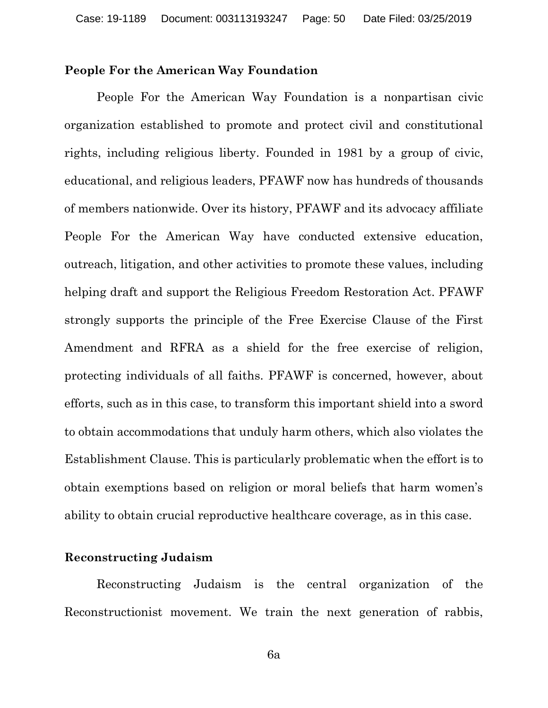#### **People For the American Way Foundation**

People For the American Way Foundation is a nonpartisan civic organization established to promote and protect civil and constitutional rights, including religious liberty. Founded in 1981 by a group of civic, educational, and religious leaders, PFAWF now has hundreds of thousands of members nationwide. Over its history, PFAWF and its advocacy affiliate People For the American Way have conducted extensive education, outreach, litigation, and other activities to promote these values, including helping draft and support the Religious Freedom Restoration Act. PFAWF strongly supports the principle of the Free Exercise Clause of the First Amendment and RFRA as a shield for the free exercise of religion, protecting individuals of all faiths. PFAWF is concerned, however, about efforts, such as in this case, to transform this important shield into a sword to obtain accommodations that unduly harm others, which also violates the Establishment Clause. This is particularly problematic when the effort is to obtain exemptions based on religion or moral beliefs that harm women's ability to obtain crucial reproductive healthcare coverage, as in this case.

### **Reconstructing Judaism**

Reconstructing Judaism is the central organization of the Reconstructionist movement. We train the next generation of rabbis,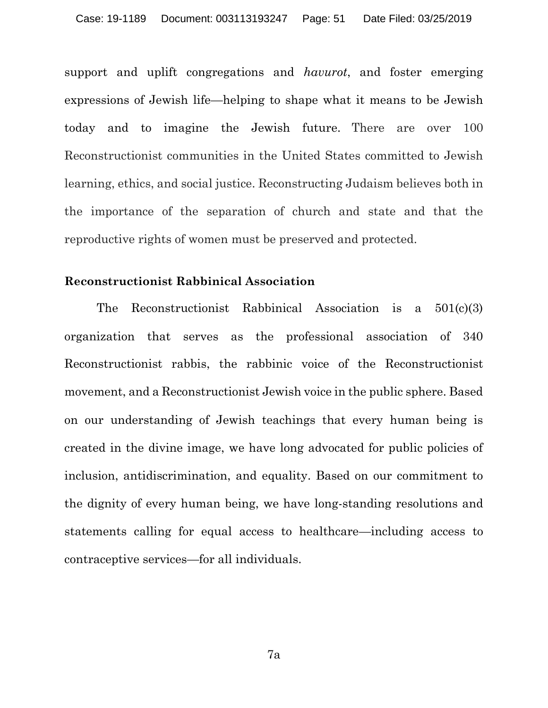support and uplift congregations and *havurot*, and foster emerging expressions of Jewish life—helping to shape what it means to be Jewish today and to imagine the Jewish future. There are over 100 Reconstructionist communities in the United States committed to Jewish learning, ethics, and social justice. Reconstructing Judaism believes both in the importance of the separation of church and state and that the reproductive rights of women must be preserved and protected.

#### **Reconstructionist Rabbinical Association**

The Reconstructionist Rabbinical Association is a 501(c)(3) organization that serves as the professional association of 340 Reconstructionist rabbis, the rabbinic voice of the Reconstructionist movement, and a Reconstructionist Jewish voice in the public sphere. Based on our understanding of Jewish teachings that every human being is created in the divine image, we have long advocated for public policies of inclusion, antidiscrimination, and equality. Based on our commitment to the dignity of every human being, we have long-standing resolutions and statements calling for equal access to healthcare—including access to contraceptive services—for all individuals.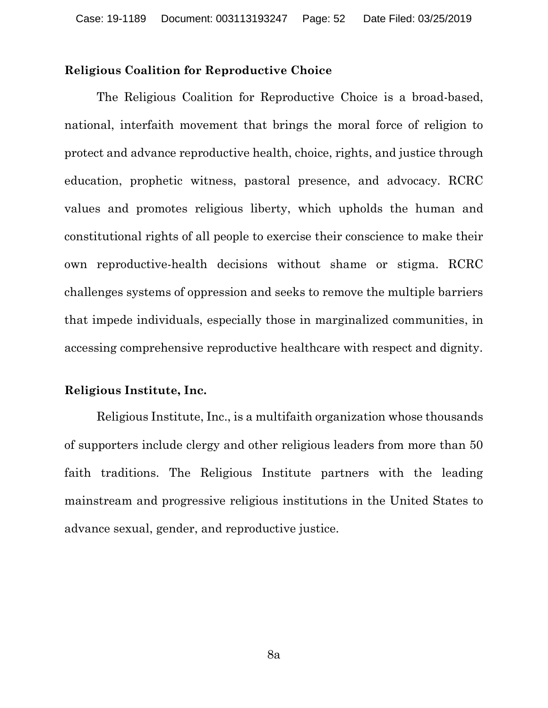## **Religious Coalition for Reproductive Choice**

The Religious Coalition for Reproductive Choice is a broad-based, national, interfaith movement that brings the moral force of religion to protect and advance reproductive health, choice, rights, and justice through education, prophetic witness, pastoral presence, and advocacy. RCRC values and promotes religious liberty, which upholds the human and constitutional rights of all people to exercise their conscience to make their own reproductive-health decisions without shame or stigma. RCRC challenges systems of oppression and seeks to remove the multiple barriers that impede individuals, especially those in marginalized communities, in accessing comprehensive reproductive healthcare with respect and dignity.

### **Religious Institute, Inc.**

Religious Institute, Inc., is a multifaith organization whose thousands of supporters include clergy and other religious leaders from more than 50 faith traditions. The Religious Institute partners with the leading mainstream and progressive religious institutions in the United States to advance sexual, gender, and reproductive justice.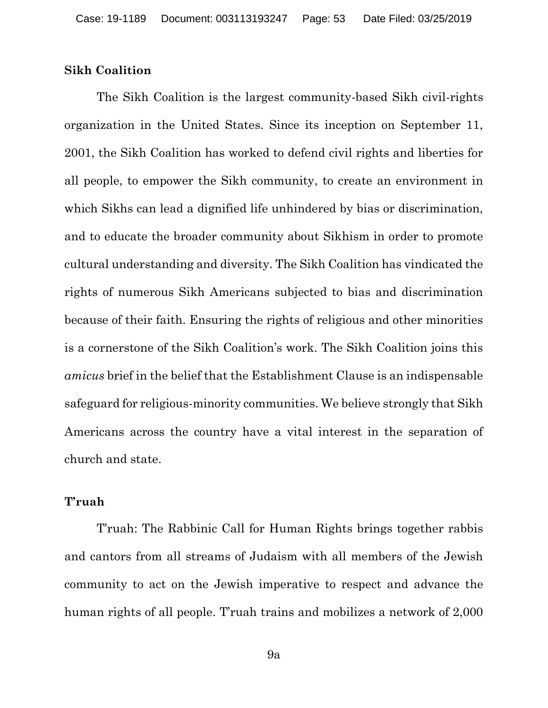### **Sikh Coalition**

The Sikh Coalition is the largest community-based Sikh civil-rights organization in the United States. Since its inception on September 11, 2001, the Sikh Coalition has worked to defend civil rights and liberties for all people, to empower the Sikh community, to create an environment in which Sikhs can lead a dignified life unhindered by bias or discrimination, and to educate the broader community about Sikhism in order to promote cultural understanding and diversity. The Sikh Coalition has vindicated the rights of numerous Sikh Americans subjected to bias and discrimination because of their faith. Ensuring the rights of religious and other minorities is a cornerstone of the Sikh Coalition's work. The Sikh Coalition joins this *amicus* brief in the belief that the Establishment Clause is an indispensable safeguard for religious-minority communities. We believe strongly that Sikh Americans across the country have a vital interest in the separation of church and state.

#### **T'ruah**

T'ruah: The Rabbinic Call for Human Rights brings together rabbis and cantors from all streams of Judaism with all members of the Jewish community to act on the Jewish imperative to respect and advance the human rights of all people. T'ruah trains and mobilizes a network of 2,000